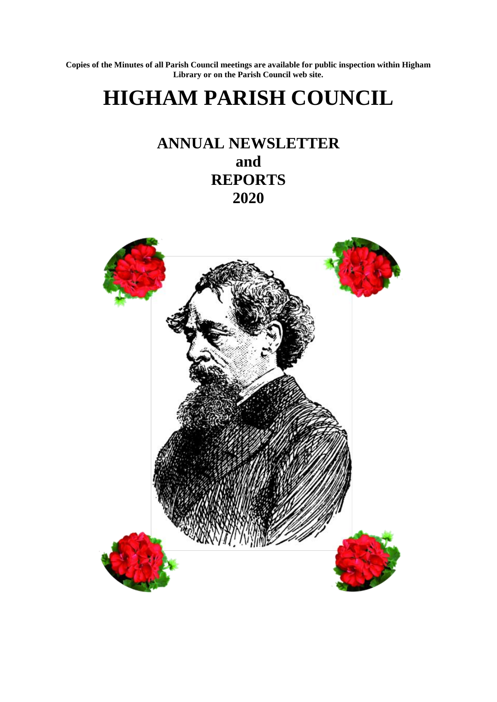**Copies of the Minutes of all Parish Council meetings are available for public inspection within Higham Library or on the Parish Council web site.**

# **HIGHAM PARISH COUNCIL**

# **ANNUAL NEWSLETTER and REPORTS 2020**

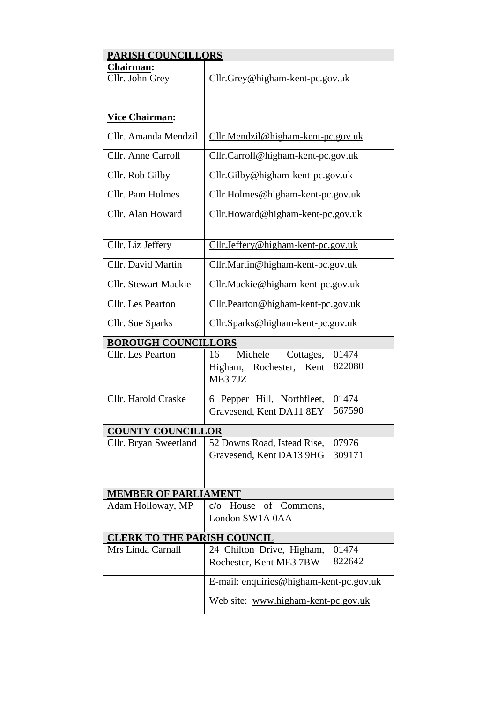| <b>PARISH COUNCILLORS</b>           |                                                                    |                 |  |
|-------------------------------------|--------------------------------------------------------------------|-----------------|--|
| <b>Chairman:</b><br>Cllr. John Grey | Cllr.Grey@higham-kent-pc.gov.uk                                    |                 |  |
| <b>Vice Chairman:</b>               |                                                                    |                 |  |
| Cllr. Amanda Mendzil                | Cllr.Mendzil@higham-kent-pc.gov.uk                                 |                 |  |
| Cllr. Anne Carroll                  | Cllr.Carroll@higham-kent-pc.gov.uk                                 |                 |  |
| Cllr. Rob Gilby                     | Cllr.Gilby@higham-kent-pc.gov.uk                                   |                 |  |
| Cllr. Pam Holmes                    | Cllr.Holmes@higham-kent-pc.gov.uk                                  |                 |  |
| Cllr. Alan Howard                   | Cllr.Howard@higham-kent-pc.gov.uk                                  |                 |  |
| Cllr. Liz Jeffery                   | Cllr.Jeffery@higham-kent-pc.gov.uk                                 |                 |  |
| Cllr. David Martin                  | Cllr. Martin@higham-kent-pc.gov.uk                                 |                 |  |
| <b>Cllr.</b> Stewart Mackie         | Cllr.Mackie@higham-kent-pc.gov.uk                                  |                 |  |
| Cllr. Les Pearton                   | Cllr.Pearton@higham-kent-pc.gov.uk                                 |                 |  |
| Cllr. Sue Sparks                    | <u>Cllr.Sparks@higham-kent-pc.gov.uk</u>                           |                 |  |
| <b>BOROUGH COUNCILLORS</b>          |                                                                    |                 |  |
| Cllr. Les Pearton                   | Michele<br>Cottages,<br>16<br>Higham, Rochester,<br>Kent<br>ME37JZ | 01474<br>822080 |  |
| Cllr. Harold Craske                 | Pepper Hill, Northfleet,<br>6                                      | 01474           |  |
|                                     | Gravesend, Kent DA11 8EY                                           | 567590          |  |
| <b>COUNTY COUNCILLOR</b>            |                                                                    |                 |  |
| Cllr. Bryan Sweetland               | 52 Downs Road, Istead Rise,                                        | 07976           |  |
|                                     | Gravesend, Kent DA13 9HG                                           | 309171          |  |
| <b>MEMBER OF PARLIAMENT</b>         |                                                                    |                 |  |
| Adam Holloway, MP                   | c/o House of Commons,                                              |                 |  |
|                                     | London SW1A 0AA                                                    |                 |  |
| <b>CLERK TO THE PARISH COUNCIL</b>  |                                                                    |                 |  |
| Mrs Linda Carnall                   | 24 Chilton Drive, Higham,<br>Rochester, Kent ME3 7BW               | 01474<br>822642 |  |
|                                     |                                                                    |                 |  |
|                                     | E-mail: enquiries@higham-kent-pc.gov.uk                            |                 |  |
|                                     | Web site: www.higham-kent-pc.gov.uk                                |                 |  |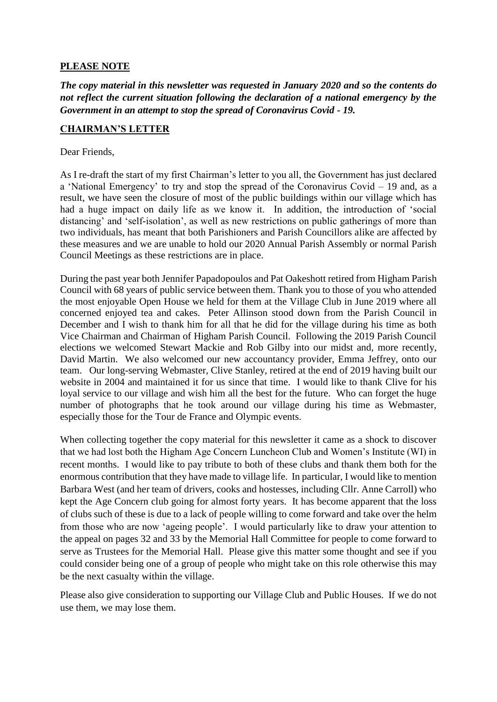#### **PLEASE NOTE**

*The copy material in this newsletter was requested in January 2020 and so the contents do not reflect the current situation following the declaration of a national emergency by the Government in an attempt to stop the spread of Coronavirus Covid - 19.*

#### **CHAIRMAN'S LETTER**

#### Dear Friends,

As I re-draft the start of my first Chairman's letter to you all, the Government has just declared a 'National Emergency' to try and stop the spread of the Coronavirus Covid – 19 and, as a result, we have seen the closure of most of the public buildings within our village which has had a huge impact on daily life as we know it. In addition, the introduction of 'social distancing' and 'self-isolation', as well as new restrictions on public gatherings of more than two individuals, has meant that both Parishioners and Parish Councillors alike are affected by these measures and we are unable to hold our 2020 Annual Parish Assembly or normal Parish Council Meetings as these restrictions are in place.

During the past year both Jennifer Papadopoulos and Pat Oakeshott retired from Higham Parish Council with 68 years of public service between them. Thank you to those of you who attended the most enjoyable Open House we held for them at the Village Club in June 2019 where all concerned enjoyed tea and cakes. Peter Allinson stood down from the Parish Council in December and I wish to thank him for all that he did for the village during his time as both Vice Chairman and Chairman of Higham Parish Council. Following the 2019 Parish Council elections we welcomed Stewart Mackie and Rob Gilby into our midst and, more recently, David Martin. We also welcomed our new accountancy provider, Emma Jeffrey, onto our team. Our long-serving Webmaster, Clive Stanley, retired at the end of 2019 having built our website in 2004 and maintained it for us since that time. I would like to thank Clive for his loyal service to our village and wish him all the best for the future. Who can forget the huge number of photographs that he took around our village during his time as Webmaster, especially those for the Tour de France and Olympic events.

When collecting together the copy material for this newsletter it came as a shock to discover that we had lost both the Higham Age Concern Luncheon Club and Women's Institute (WI) in recent months. I would like to pay tribute to both of these clubs and thank them both for the enormous contribution that they have made to village life. In particular, I would like to mention Barbara West (and her team of drivers, cooks and hostesses, including Cllr. Anne Carroll) who kept the Age Concern club going for almost forty years. It has become apparent that the loss of clubs such of these is due to a lack of people willing to come forward and take over the helm from those who are now 'ageing people'. I would particularly like to draw your attention to the appeal on pages 32 and 33 by the Memorial Hall Committee for people to come forward to serve as Trustees for the Memorial Hall. Please give this matter some thought and see if you could consider being one of a group of people who might take on this role otherwise this may be the next casualty within the village.

Please also give consideration to supporting our Village Club and Public Houses. If we do not use them, we may lose them.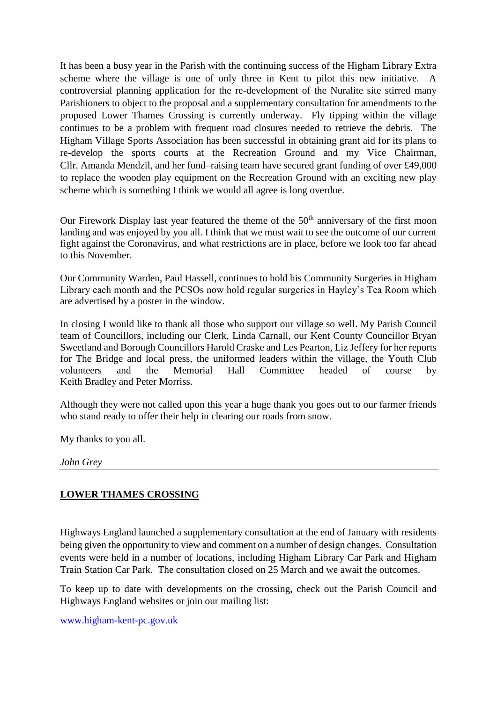It has been a busy year in the Parish with the continuing success of the Higham Library Extra scheme where the village is one of only three in Kent to pilot this new initiative. A controversial planning application for the re-development of the Nuralite site stirred many Parishioners to object to the proposal and a supplementary consultation for amendments to the proposed Lower Thames Crossing is currently underway. Fly tipping within the village continues to be a problem with frequent road closures needed to retrieve the debris. The Higham Village Sports Association has been successful in obtaining grant aid for its plans to re-develop the sports courts at the Recreation Ground and my Vice Chairman, Cllr. Amanda Mendzil, and her fund–raising team have secured grant funding of over £49,000 to replace the wooden play equipment on the Recreation Ground with an exciting new play scheme which is something I think we would all agree is long overdue.

Our Firework Display last year featured the theme of the  $50<sup>th</sup>$  anniversary of the first moon landing and was enjoyed by you all. I think that we must wait to see the outcome of our current fight against the Coronavirus, and what restrictions are in place, before we look too far ahead to this November.

Our Community Warden, Paul Hassell, continues to hold his Community Surgeries in Higham Library each month and the PCSOs now hold regular surgeries in Hayley's Tea Room which are advertised by a poster in the window.

In closing I would like to thank all those who support our village so well. My Parish Council team of Councillors, including our Clerk, Linda Carnall, our Kent County Councillor Bryan Sweetland and Borough Councillors Harold Craske and Les Pearton, Liz Jeffery for her reports for The Bridge and local press, the uniformed leaders within the village, the Youth Club volunteers and the Memorial Hall Committee headed of course by Keith Bradley and Peter Morriss.

Although they were not called upon this year a huge thank you goes out to our farmer friends who stand ready to offer their help in clearing our roads from snow.

My thanks to you all.

*John Grey* 

#### **LOWER THAMES CROSSING**

Highways England launched a supplementary consultation at the end of January with residents being given the opportunity to view and comment on a number of design changes. Consultation events were held in a number of locations, including Higham Library Car Park and Higham Train Station Car Park. The consultation closed on 25 March and we await the outcomes.

To keep up to date with developments on the crossing, check out the Parish Council and Highways England websites or join our mailing list:

[www.higham-kent-pc.gov.uk](http://www.higham-kent-pc.gov.uk/)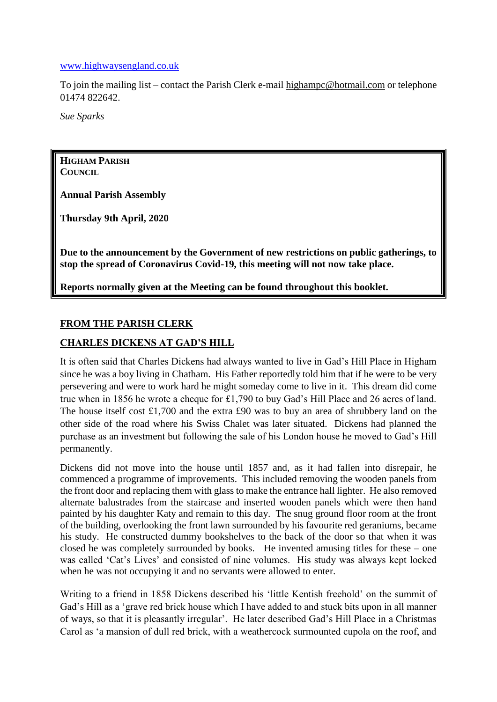#### [www.highwaysengland.co.uk](http://www.highwaysengland.co.uk/)

To join the mailing list – contact the Parish Clerk e-mail [highampc@hotmail.com](mailto:highampc@hotmail.com) or telephone 01474 822642.

*Sue Sparks*

**HIGHAM PARISH COUNCIL**

**Annual Parish Assembly**

**Thursday 9th April, 2020**

**Due to the announcement by the Government of new restrictions on public gatherings, to stop the spread of Coronavirus Covid-19, this meeting will not now take place.**

**Reports normally given at the Meeting can be found throughout this booklet.**

#### **FROM THE PARISH CLERK**

#### **CHARLES DICKENS AT GAD'S HILL**

It is often said that Charles Dickens had always wanted to live in Gad's Hill Place in Higham since he was a boy living in Chatham. His Father reportedly told him that if he were to be very persevering and were to work hard he might someday come to live in it. This dream did come true when in 1856 he wrote a cheque for £1,790 to buy Gad's Hill Place and 26 acres of land. The house itself cost £1,700 and the extra £90 was to buy an area of shrubbery land on the other side of the road where his Swiss Chalet was later situated. Dickens had planned the purchase as an investment but following the sale of his London house he moved to Gad's Hill permanently.

Dickens did not move into the house until 1857 and, as it had fallen into disrepair, he commenced a programme of improvements. This included removing the wooden panels from the front door and replacing them with glass to make the entrance hall lighter. He also removed alternate balustrades from the staircase and inserted wooden panels which were then hand painted by his daughter Katy and remain to this day. The snug ground floor room at the front of the building, overlooking the front lawn surrounded by his favourite red geraniums, became his study. He constructed dummy bookshelves to the back of the door so that when it was closed he was completely surrounded by books. He invented amusing titles for these – one was called 'Cat's Lives' and consisted of nine volumes. His study was always kept locked when he was not occupying it and no servants were allowed to enter.

Writing to a friend in 1858 Dickens described his 'little Kentish freehold' on the summit of Gad's Hill as a 'grave red brick house which I have added to and stuck bits upon in all manner of ways, so that it is pleasantly irregular'. He later described Gad's Hill Place in a Christmas Carol as 'a mansion of dull red brick, with a weathercock surmounted cupola on the roof, and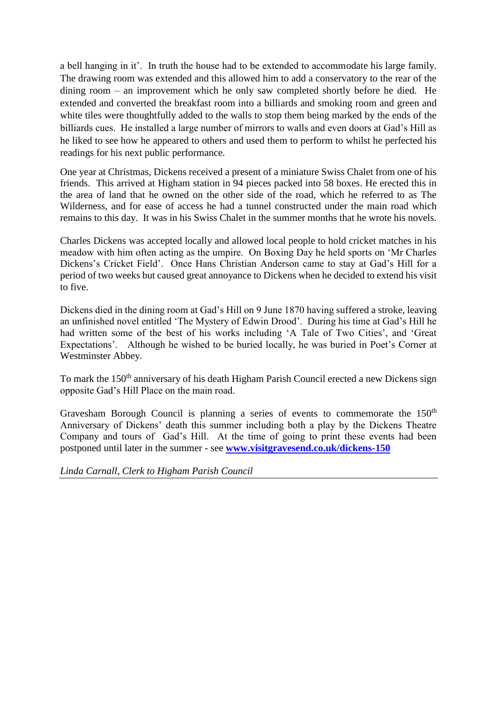a bell hanging in it'. In truth the house had to be extended to accommodate his large family. The drawing room was extended and this allowed him to add a conservatory to the rear of the dining room – an improvement which he only saw completed shortly before he died. He extended and converted the breakfast room into a billiards and smoking room and green and white tiles were thoughtfully added to the walls to stop them being marked by the ends of the billiards cues. He installed a large number of mirrors to walls and even doors at Gad's Hill as he liked to see how he appeared to others and used them to perform to whilst he perfected his readings for his next public performance.

One year at Christmas, Dickens received a present of a miniature Swiss Chalet from one of his friends. This arrived at Higham station in 94 pieces packed into 58 boxes. He erected this in the area of land that he owned on the other side of the road, which he referred to as The Wilderness, and for ease of access he had a tunnel constructed under the main road which remains to this day. It was in his Swiss Chalet in the summer months that he wrote his novels.

Charles Dickens was accepted locally and allowed local people to hold cricket matches in his meadow with him often acting as the umpire. On Boxing Day he held sports on 'Mr Charles Dickens's Cricket Field'. Once Hans Christian Anderson came to stay at Gad's Hill for a period of two weeks but caused great annoyance to Dickens when he decided to extend his visit to five.

Dickens died in the dining room at Gad's Hill on 9 June 1870 having suffered a stroke, leaving an unfinished novel entitled 'The Mystery of Edwin Drood'. During his time at Gad's Hill he had written some of the best of his works including 'A Tale of Two Cities', and 'Great Expectations'. Although he wished to be buried locally, he was buried in Poet's Corner at Westminster Abbey.

To mark the 150<sup>th</sup> anniversary of his death Higham Parish Council erected a new Dickens sign opposite Gad's Hill Place on the main road.

Gravesham Borough Council is planning a series of events to commemorate the  $150<sup>th</sup>$ Anniversary of Dickens' death this summer including both a play by the Dickens Theatre Company and tours of Gad's Hill. At the time of going to print these events had been postponed until later in the summer - see **[www.visitgravesend.co.uk/dickens-150](http://www.visitgravesend.co.uk/dickens-150)**

*Linda Carnall, Clerk to Higham Parish Council*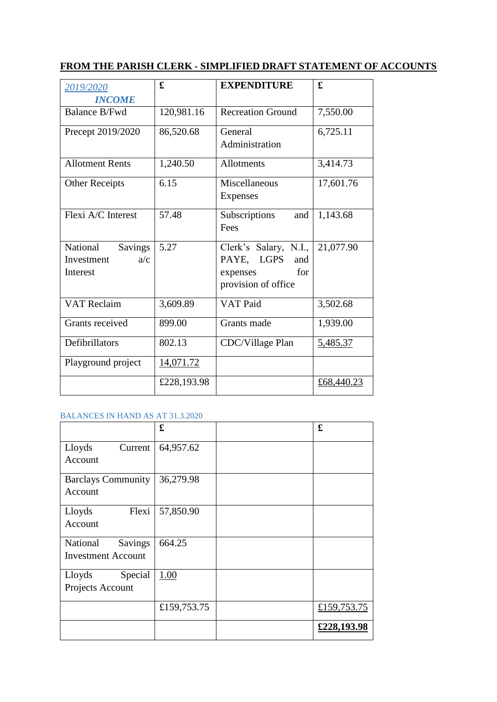# **FROM THE PARISH CLERK - SIMPLIFIED DRAFT STATEMENT OF ACCOUNTS**

| 2019/2020              | £           | <b>EXPENDITURE</b>       | £          |
|------------------------|-------------|--------------------------|------------|
| <b>INCOME</b>          |             |                          |            |
| <b>Balance B/Fwd</b>   | 120,981.16  | <b>Recreation Ground</b> | 7,550.00   |
| Precept 2019/2020      | 86,520.68   | General                  | 6,725.11   |
|                        |             | Administration           |            |
| <b>Allotment Rents</b> | 1,240.50    | Allotments               | 3,414.73   |
| <b>Other Receipts</b>  | 6.15        | Miscellaneous            | 17,601.76  |
|                        |             | <b>Expenses</b>          |            |
| Flexi A/C Interest     | 57.48       | Subscriptions<br>and     | 1,143.68   |
|                        |             | Fees                     |            |
| National<br>Savings    | 5.27        | Clerk's Salary, N.I.,    | 21,077.90  |
| a/c<br>Investment      |             | PAYE, LGPS<br>and        |            |
| Interest               |             | for<br>expenses          |            |
|                        |             | provision of office      |            |
| <b>VAT Reclaim</b>     | 3,609.89    | VAT Paid                 | 3,502.68   |
| Grants received        | 899.00      | Grants made              | 1,939.00   |
| Defibrillators         | 802.13      | CDC/Village Plan         | 5,485.37   |
| Playground project     | 14,071.72   |                          |            |
|                        | £228,193.98 |                          | £68,440.23 |

#### BALANCES IN HAND AS AT 31.3.2020

|                                                         | £           | £           |
|---------------------------------------------------------|-------------|-------------|
| Lloyds<br>Current<br>Account                            | 64,957.62   |             |
| <b>Barclays Community</b><br>Account                    | 36,279.98   |             |
| Flexi<br>Lloyds<br>Account                              | 57,850.90   |             |
| National<br><b>Savings</b><br><b>Investment Account</b> | 664.25      |             |
| Special<br>Lloyds<br>Projects Account                   | 1.00        |             |
|                                                         | £159,753.75 | £159,753.75 |
|                                                         |             | £228,193.98 |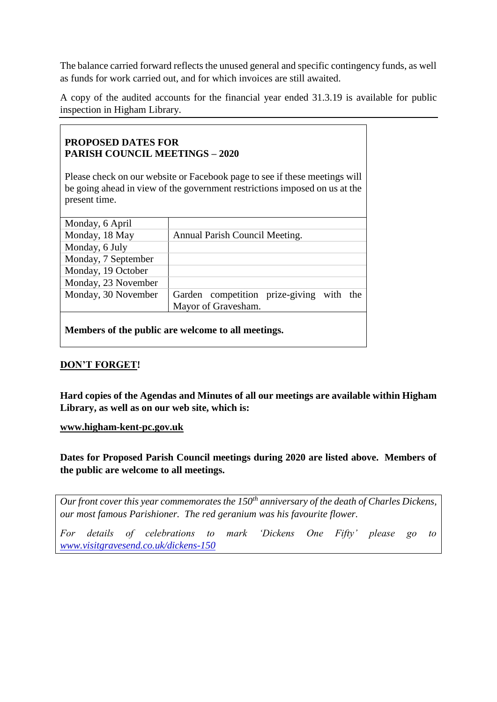The balance carried forward reflects the unused general and specific contingency funds, as well as funds for work carried out, and for which invoices are still awaited.

A copy of the audited accounts for the financial year ended 31.3.19 is available for public inspection in Higham Library.

#### **PROPOSED DATES FOR PARISH COUNCIL MEETINGS – 2020**

Please check on our website or Facebook page to see if these meetings will be going ahead in view of the government restrictions imposed on us at the present time.

| Monday, 6 April     |                                             |
|---------------------|---------------------------------------------|
| Monday, 18 May      | Annual Parish Council Meeting.              |
| Monday, 6 July      |                                             |
| Monday, 7 September |                                             |
| Monday, 19 October  |                                             |
| Monday, 23 November |                                             |
| Monday, 30 November | Garden competition prize-giving<br>with the |
|                     | Mayor of Gravesham.                         |
|                     |                                             |

**Members of the public are welcome to all meetings.**

## **DON'T FORGET!**

**Hard copies of the Agendas and Minutes of all our meetings are available within Higham Library, as well as on our web site, which is:**

**[www.higham-kent-pc.gov.uk](http://www.higham-kent-pc.gov.uk/)** 

**Dates for Proposed Parish Council meetings during 2020 are listed above. Members of the public are welcome to all meetings.**

*Our front cover this year commemorates the 150th anniversary of the death of Charles Dickens, our most famous Parishioner. The red geranium was his favourite flower.* 

*For details of celebrations to mark 'Dickens One Fifty' please go to [www.visitgravesend.co.uk/dickens-150](http://www.visitgravesend.co.uk/dickens-150)*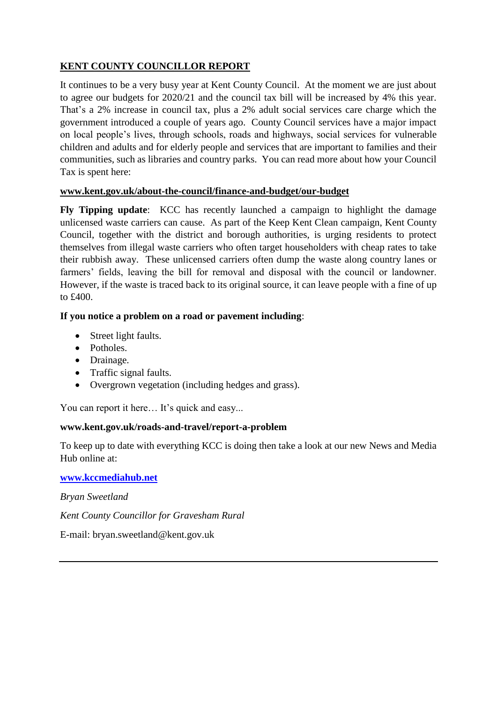# **KENT COUNTY COUNCILLOR REPORT**

It continues to be a very busy year at Kent County Council. At the moment we are just about to agree our budgets for 2020/21 and the council tax bill will be increased by 4% this year. That's a 2% increase in council tax, plus a 2% adult social services care charge which the government introduced a couple of years ago. County Council services have a major impact on local people's lives, through schools, roads and highways, social services for vulnerable children and adults and for elderly people and services that are important to families and their communities, such as libraries and country parks. You can read more about how your Council Tax is spent here:

#### **[www.kent.gov.uk/about-the-council/finance-and-budget/our-budget](http://www.kent.gov.uk/about-the-council/finance-and-budget/our-budget)**

**Fly Tipping update**: KCC has recently launched a campaign to highlight the damage unlicensed waste carriers can cause. As part of the Keep Kent Clean campaign, Kent County Council, together with the district and borough authorities, is urging residents to protect themselves from illegal waste carriers who often target householders with cheap rates to take their rubbish away. These unlicensed carriers often dump the waste along country lanes or farmers' fields, leaving the bill for removal and disposal with the council or landowner. However, if the waste is traced back to its original source, it can leave people with a fine of up to £400.

#### **If you notice a problem on a road or pavement including**:

- Street light faults.
- Potholes.
- Drainage.
- Traffic signal faults.
- Overgrown vegetation (including hedges and grass).

You can report it here... It's quick and easy...

#### **www.kent.gov.uk/roads-and-travel/report-a-problem**

To keep up to date with everything KCC is doing then take a look at our new News and Media Hub online at:

**[www.kccmediahub.net](http://www.kccmediahub.net/)**

*Bryan Sweetland*

*Kent County Councillor for Gravesham Rural*

E-mail: bryan.sweetland@kent.gov.uk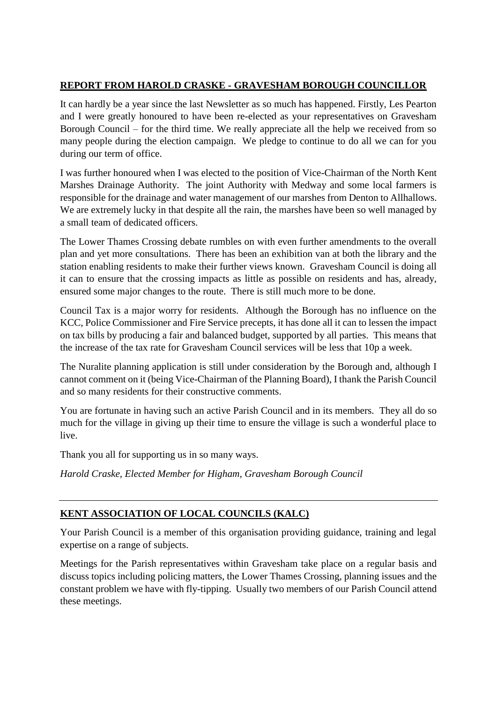#### **REPORT FROM HAROLD CRASKE - GRAVESHAM BOROUGH COUNCILLOR**

It can hardly be a year since the last Newsletter as so much has happened. Firstly, Les Pearton and I were greatly honoured to have been re-elected as your representatives on Gravesham Borough Council – for the third time. We really appreciate all the help we received from so many people during the election campaign. We pledge to continue to do all we can for you during our term of office.

I was further honoured when I was elected to the position of Vice-Chairman of the North Kent Marshes Drainage Authority. The joint Authority with Medway and some local farmers is responsible for the drainage and water management of our marshes from Denton to Allhallows. We are extremely lucky in that despite all the rain, the marshes have been so well managed by a small team of dedicated officers.

The Lower Thames Crossing debate rumbles on with even further amendments to the overall plan and yet more consultations. There has been an exhibition van at both the library and the station enabling residents to make their further views known. Gravesham Council is doing all it can to ensure that the crossing impacts as little as possible on residents and has, already, ensured some major changes to the route. There is still much more to be done.

Council Tax is a major worry for residents. Although the Borough has no influence on the KCC, Police Commissioner and Fire Service precepts, it has done all it can to lessen the impact on tax bills by producing a fair and balanced budget, supported by all parties. This means that the increase of the tax rate for Gravesham Council services will be less that 10p a week.

The Nuralite planning application is still under consideration by the Borough and, although I cannot comment on it (being Vice-Chairman of the Planning Board), I thank the Parish Council and so many residents for their constructive comments.

You are fortunate in having such an active Parish Council and in its members. They all do so much for the village in giving up their time to ensure the village is such a wonderful place to live.

Thank you all for supporting us in so many ways.

*Harold Craske, Elected Member for Higham, Gravesham Borough Council*

## **KENT ASSOCIATION OF LOCAL COUNCILS (KALC)**

Your Parish Council is a member of this organisation providing guidance, training and legal expertise on a range of subjects.

Meetings for the Parish representatives within Gravesham take place on a regular basis and discuss topics including policing matters, the Lower Thames Crossing, planning issues and the constant problem we have with fly-tipping. Usually two members of our Parish Council attend these meetings.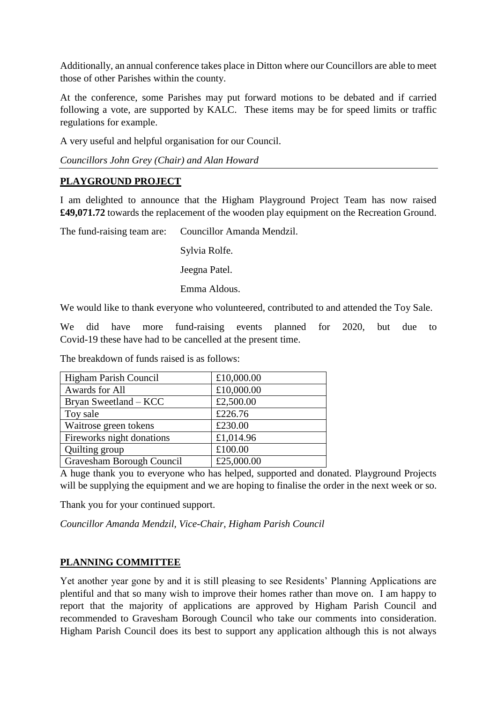Additionally, an annual conference takes place in Ditton where our Councillors are able to meet those of other Parishes within the county.

At the conference, some Parishes may put forward motions to be debated and if carried following a vote, are supported by KALC. These items may be for speed limits or traffic regulations for example.

A very useful and helpful organisation for our Council.

*Councillors John Grey (Chair) and Alan Howard*

#### **PLAYGROUND PROJECT**

I am delighted to announce that the Higham Playground Project Team has now raised **£49,071.72** towards the replacement of the wooden play equipment on the Recreation Ground.

The fund-raising team are: Councillor Amanda Mendzil.

Sylvia Rolfe.

Jeegna Patel.

Emma Aldous.

We would like to thank everyone who volunteered, contributed to and attended the Toy Sale.

We did have more fund-raising events planned for 2020, but due to Covid-19 these have had to be cancelled at the present time.

The breakdown of funds raised is as follows:

| Higham Parish Council     | £10,000.00 |
|---------------------------|------------|
| Awards for All            | £10,000.00 |
| Bryan Sweetland – KCC     | £2,500.00  |
| Toy sale                  | £226.76    |
| Waitrose green tokens     | £230.00    |
| Fireworks night donations | £1,014.96  |
| Quilting group            | £100.00    |
| Gravesham Borough Council | £25,000.00 |

A huge thank you to everyone who has helped, supported and donated. Playground Projects will be supplying the equipment and we are hoping to finalise the order in the next week or so.

Thank you for your continued support.

*Councillor Amanda Mendzil, Vice-Chair, Higham Parish Council*

#### **PLANNING COMMITTEE**

Yet another year gone by and it is still pleasing to see Residents' Planning Applications are plentiful and that so many wish to improve their homes rather than move on. I am happy to report that the majority of applications are approved by Higham Parish Council and recommended to Gravesham Borough Council who take our comments into consideration. Higham Parish Council does its best to support any application although this is not always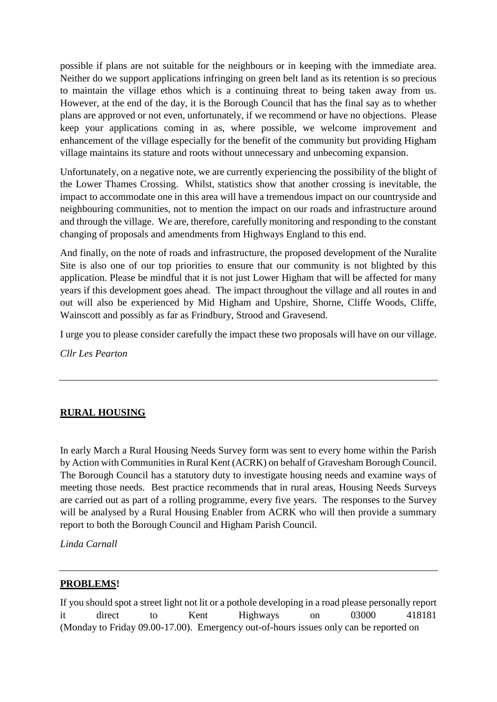possible if plans are not suitable for the neighbours or in keeping with the immediate area. Neither do we support applications infringing on green belt land as its retention is so precious to maintain the village ethos which is a continuing threat to being taken away from us. However, at the end of the day, it is the Borough Council that has the final say as to whether plans are approved or not even, unfortunately, if we recommend or have no objections. Please keep your applications coming in as, where possible, we welcome improvement and enhancement of the village especially for the benefit of the community but providing Higham village maintains its stature and roots without unnecessary and unbecoming expansion.

Unfortunately, on a negative note, we are currently experiencing the possibility of the blight of the Lower Thames Crossing. Whilst, statistics show that another crossing is inevitable, the impact to accommodate one in this area will have a tremendous impact on our countryside and neighbouring communities, not to mention the impact on our roads and infrastructure around and through the village. We are, therefore, carefully monitoring and responding to the constant changing of proposals and amendments from Highways England to this end.

And finally, on the note of roads and infrastructure, the proposed development of the Nuralite Site is also one of our top priorities to ensure that our community is not blighted by this application. Please be mindful that it is not just Lower Higham that will be affected for many years if this development goes ahead. The impact throughout the village and all routes in and out will also be experienced by Mid Higham and Upshire, Shorne, Cliffe Woods, Cliffe, Wainscott and possibly as far as Frindbury, Strood and Gravesend.

I urge you to please consider carefully the impact these two proposals will have on our village.

*Cllr Les Pearton*

# **RURAL HOUSING**

In early March a Rural Housing Needs Survey form was sent to every home within the Parish by Action with Communities in Rural Kent (ACRK) on behalf of Gravesham Borough Council. The Borough Council has a statutory duty to investigate housing needs and examine ways of meeting those needs. Best practice recommends that in rural areas, Housing Needs Surveys are carried out as part of a rolling programme, every five years. The responses to the Survey will be analysed by a Rural Housing Enabler from ACRK who will then provide a summary report to both the Borough Council and Higham Parish Council.

*Linda Carnall*

#### **PROBLEMS!**

If you should spot a street light not lit or a pothole developing in a road please personally report it direct to Kent Highways on 03000 418181 (Monday to Friday 09.00-17.00). Emergency out-of-hours issues only can be reported on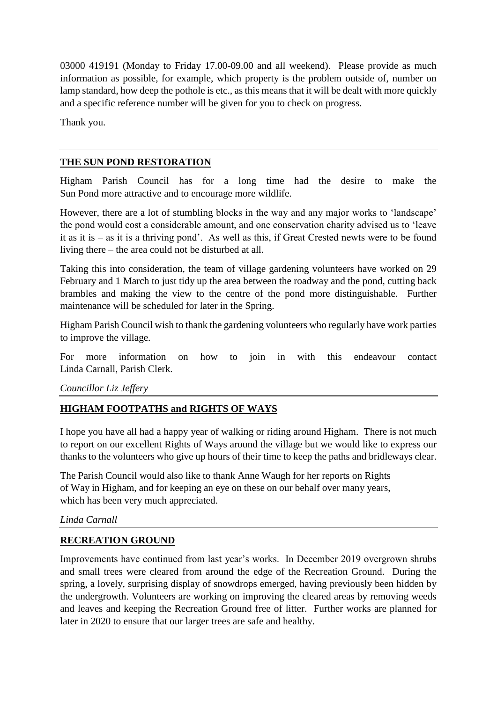03000 419191 (Monday to Friday 17.00-09.00 and all weekend). Please provide as much information as possible, for example, which property is the problem outside of, number on lamp standard, how deep the pothole is etc., as this means that it will be dealt with more quickly and a specific reference number will be given for you to check on progress.

Thank you.

# **THE SUN POND RESTORATION**

Higham Parish Council has for a long time had the desire to make the Sun Pond more attractive and to encourage more wildlife.

However, there are a lot of stumbling blocks in the way and any major works to 'landscape' the pond would cost a considerable amount, and one conservation charity advised us to 'leave it as it is – as it is a thriving pond'. As well as this, if Great Crested newts were to be found living there – the area could not be disturbed at all.

Taking this into consideration, the team of village gardening volunteers have worked on 29 February and 1 March to just tidy up the area between the roadway and the pond, cutting back brambles and making the view to the centre of the pond more distinguishable. Further maintenance will be scheduled for later in the Spring.

Higham Parish Council wish to thank the gardening volunteers who regularly have work parties to improve the village.

For more information on how to join in with this endeavour contact Linda Carnall, Parish Clerk.

*Councillor Liz Jeffery*

# **HIGHAM FOOTPATHS and RIGHTS OF WAYS**

I hope you have all had a happy year of walking or riding around Higham. There is not much to report on our excellent Rights of Ways around the village but we would like to express our thanks to the volunteers who give up hours of their time to keep the paths and bridleways clear.

The Parish Council would also like to thank Anne Waugh for her reports on Rights of Way in Higham, and for keeping an eye on these on our behalf over many years, which has been very much appreciated.

*Linda Carnall*

## **RECREATION GROUND**

Improvements have continued from last year's works. In December 2019 overgrown shrubs and small trees were cleared from around the edge of the Recreation Ground. During the spring, a lovely, surprising display of snowdrops emerged, having previously been hidden by the undergrowth. Volunteers are working on improving the cleared areas by removing weeds and leaves and keeping the Recreation Ground free of litter. Further works are planned for later in 2020 to ensure that our larger trees are safe and healthy.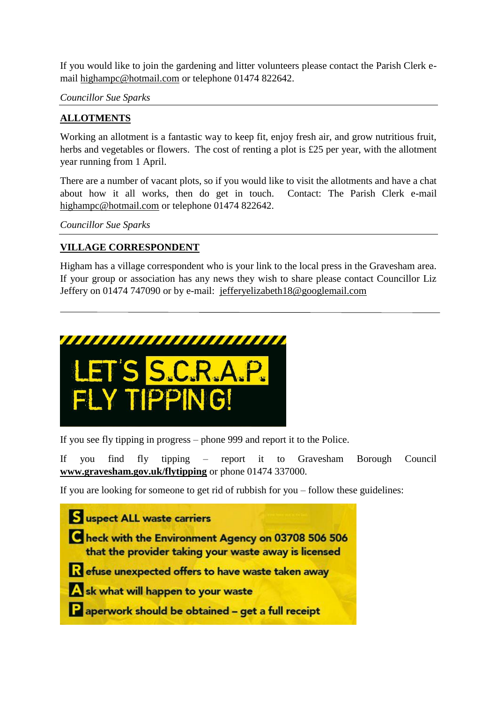If you would like to join the gardening and litter volunteers please contact the Parish Clerk email [highampc@hotmail.com](mailto:highampc@hotmail.com) or telephone 01474 822642.

*Councillor Sue Sparks*

## **ALLOTMENTS**

Working an allotment is a fantastic way to keep fit, enjoy fresh air, and grow nutritious fruit, herbs and vegetables or flowers. The cost of renting a plot is £25 per year, with the allotment year running from 1 April.

There are a number of vacant plots, so if you would like to visit the allotments and have a chat about how it all works, then do get in touch. Contact: The Parish Clerk e-mail [highampc@hotmail.com](mailto:highampc@hotmail.com) or telephone 01474 822642.

*Councillor Sue Sparks*

# **VILLAGE CORRESPONDENT**

Higham has a village correspondent who is your link to the local press in the Gravesham area. If your group or association has any news they wish to share please contact Councillor Liz Jeffery on 01474 747090 or by e-mail: [jefferyelizabeth18@googlemail.com](mailto:jefferyelizabeth18@googlemail.com)



If you see fly tipping in progress – phone 999 and report it to the Police.

If you find fly tipping – report it to Gravesham Borough Council **[www.gravesham.gov.uk/flytipping](http://www.gravesham.gov.uk/flytipping)** or phone 01474 337000.

If you are looking for someone to get rid of rubbish for you – follow these guidelines:

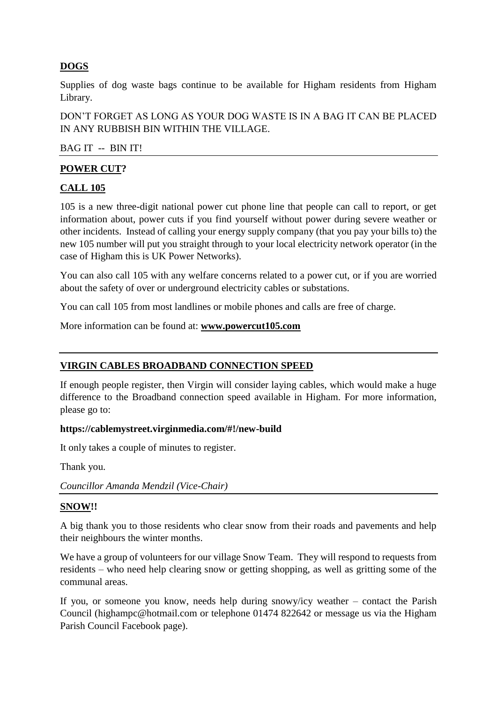# **DOGS**

Supplies of dog waste bags continue to be available for Higham residents from Higham Library.

DON'T FORGET AS LONG AS YOUR DOG WASTE IS IN A BAG IT CAN BE PLACED IN ANY RUBBISH BIN WITHIN THE VILLAGE.

#### BAG IT -- BIN IT!

#### **POWER CUT?**

#### **CALL 105**

105 is a new three-digit national power cut phone line that people can call to report, or get information about, power cuts if you find yourself without power during severe weather or other incidents. Instead of calling your energy supply company (that you pay your bills to) the new 105 number will put you straight through to your local electricity network operator (in the case of Higham this is UK Power Networks).

You can also call 105 with any welfare concerns related to a power cut, or if you are worried about the safety of over or underground electricity cables or substations.

You can call 105 from most landlines or mobile phones and calls are free of charge.

More information can be found at: **[www.powercut105.com](http://www.powercut105.com/)**

#### **VIRGIN CABLES BROADBAND CONNECTION SPEED**

If enough people register, then Virgin will consider laying cables, which would make a huge difference to the Broadband connection speed available in Higham. For more information, please go to:

#### **https://cablemystreet.virginmedia.com/#!/new-build**

It only takes a couple of minutes to register.

Thank you.

*Councillor Amanda Mendzil (Vice-Chair)*

#### **SNOW!!**

A big thank you to those residents who clear snow from their roads and pavements and help their neighbours the winter months.

We have a group of volunteers for our village Snow Team. They will respond to requests from residents – who need help clearing snow or getting shopping, as well as gritting some of the communal areas.

If you, or someone you know, needs help during snowy/icy weather – contact the Parish Council (highampc@hotmail.com or telephone 01474 822642 or message us via the Higham Parish Council Facebook page).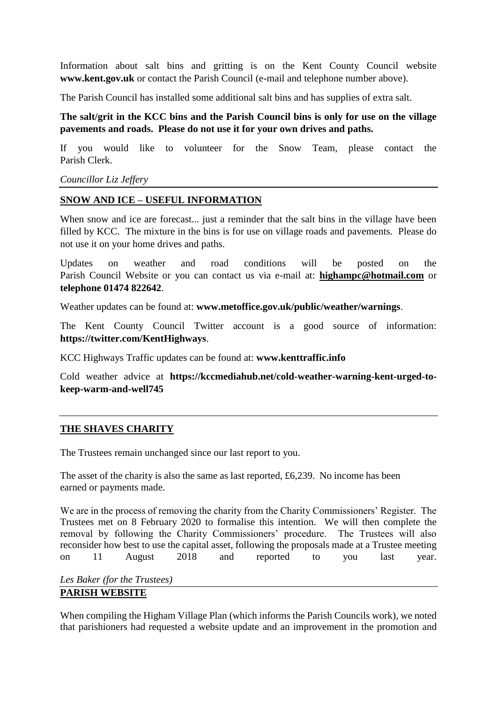Information about salt bins and gritting is on the Kent County Council website **www.kent.gov.uk** or contact the Parish Council (e-mail and telephone number above).

The Parish Council has installed some additional salt bins and has supplies of extra salt.

**The salt/grit in the KCC bins and the Parish Council bins is only for use on the village pavements and roads. Please do not use it for your own drives and paths.**

If you would like to volunteer for the Snow Team, please contact the Parish Clerk.

#### *Councillor Liz Jeffery*

#### **SNOW AND ICE – USEFUL INFORMATION**

When snow and ice are forecast... just a reminder that the salt bins in the village have been filled by KCC. The mixture in the bins is for use on village roads and pavements. Please do not use it on your home drives and paths.

Updates on weather and road conditions will be posted on the Parish Council Website or you can contact us via e-mail at: **[highampc@hotmail.com](mailto:highampc@hotmail.com)** or **telephone 01474 822642**.

Weather updates can be found at: **www.metoffice.gov.uk/public/weather/warnings**.

The Kent County Council Twitter account is a good source of information: **https://twitter.com/KentHighways**.

KCC Highways Traffic updates can be found at: **www.kenttraffic.info**

Cold weather advice at **[https://kccmediahub.net/cold-weather-warning-kent-urged-to](https://kccmediahub.net/cold-weather-warning-kent-urged-to-keep-warm-and-well745)[keep-warm-and-well745](https://kccmediahub.net/cold-weather-warning-kent-urged-to-keep-warm-and-well745)**

#### **THE SHAVES CHARITY**

The Trustees remain unchanged since our last report to you.

The asset of the charity is also the same as last reported, £6,239. No income has been earned or payments made.

We are in the process of removing the charity from the Charity Commissioners' Register. The Trustees met on 8 February 2020 to formalise this intention. We will then complete the removal by following the Charity Commissioners' procedure. The Trustees will also reconsider how best to use the capital asset, following the proposals made at a Trustee meeting on 11 August 2018 and reported to you last year.

*Les Baker (for the Trustees)* **PARISH WEBSITE**

When compiling the Higham Village Plan (which informs the Parish Councils work), we noted that parishioners had requested a website update and an improvement in the promotion and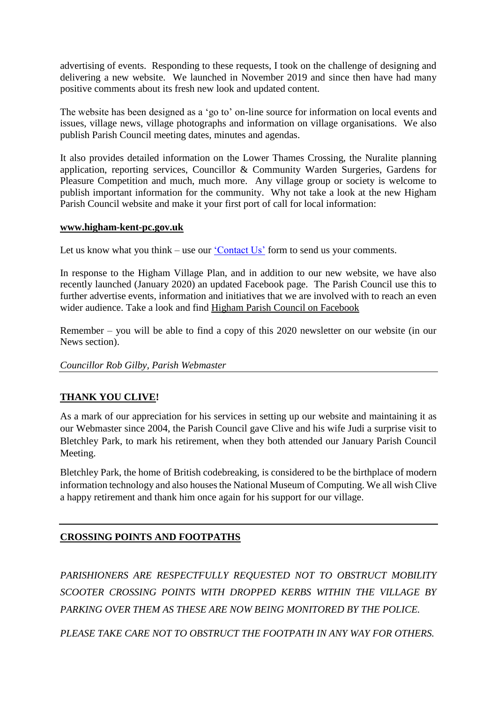advertising of events. Responding to these requests, I took on the challenge of designing and delivering a new website. We launched in November 2019 and since then have had many positive comments about its fresh new look and updated content.

The website has been designed as a 'go to' on-line source for information on local events and issues, village news, village photographs and information on village organisations. We also publish Parish Council meeting dates, minutes and agendas.

It also provides detailed information on the Lower Thames Crossing, the Nuralite planning application, reporting services, Councillor & Community Warden Surgeries, Gardens for Pleasure Competition and much, much more. Any village group or society is welcome to publish important information for the community. Why not take a look at the new Higham Parish Council website and make it your first port of call for local information:

#### **[www.higham-kent-pc.gov.uk](http://www.higham-kent-pc.gov.uk/)**

Let us know what you think – use our ['Contact Us'](https://higham-kent-pc.gov.uk/phone-numbers/) form to send us your comments.

In response to the Higham Village Plan, and in addition to our new website, we have also recently launched (January 2020) an updated Facebook page. The Parish Council use this to further advertise events, information and initiatives that we are involved with to reach an even wider audience. Take a look and find [Higham Parish Council on Facebook](https://www.facebook.com/Higham-Parish-Council-107674074113033)

Remember – you will be able to find a copy of this 2020 newsletter on our website (in our News section).

#### *Councillor Rob Gilby, Parish Webmaster*

#### **THANK YOU CLIVE!**

As a mark of our appreciation for his services in setting up our website and maintaining it as our Webmaster since 2004, the Parish Council gave Clive and his wife Judi a surprise visit to Bletchley Park, to mark his retirement, when they both attended our January Parish Council Meeting.

Bletchley Park, the home of British codebreaking, is considered to be the birthplace of modern information technology and also houses the National Museum of Computing. We all wish Clive a happy retirement and thank him once again for his support for our village.

#### **CROSSING POINTS AND FOOTPATHS**

*PARISHIONERS ARE RESPECTFULLY REQUESTED NOT TO OBSTRUCT MOBILITY SCOOTER CROSSING POINTS WITH DROPPED KERBS WITHIN THE VILLAGE BY PARKING OVER THEM AS THESE ARE NOW BEING MONITORED BY THE POLICE.*

*PLEASE TAKE CARE NOT TO OBSTRUCT THE FOOTPATH IN ANY WAY FOR OTHERS.*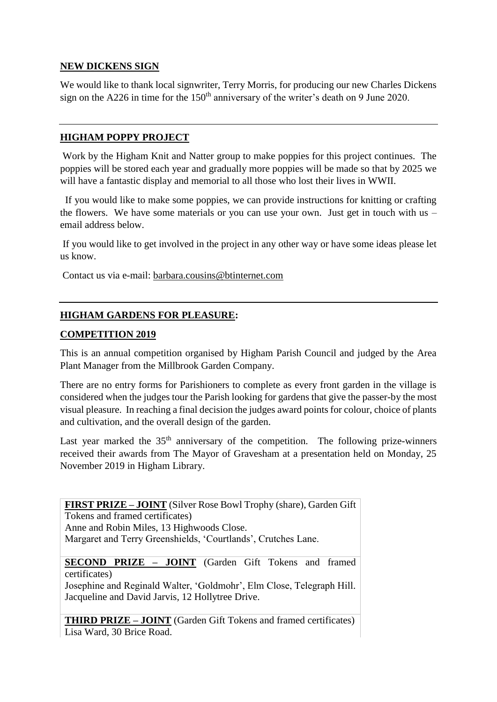## **NEW DICKENS SIGN**

We would like to thank local signwriter, Terry Morris, for producing our new Charles Dickens sign on the A226 in time for the  $150<sup>th</sup>$  anniversary of the writer's death on 9 June 2020.

#### **HIGHAM POPPY PROJECT**

Work by the Higham Knit and Natter group to make poppies for this project continues. The poppies will be stored each year and gradually more poppies will be made so that by 2025 we will have a fantastic display and memorial to all those who lost their lives in WWII.

 If you would like to make some poppies, we can provide instructions for knitting or crafting the flowers. We have some materials or you can use your own. Just get in touch with us  $$ email address below.

If you would like to get involved in the project in any other way or have some ideas please let us know.

Contact us via e-mail: [barbara.cousins@btinternet.com](mailto:barbara.cousins@btinternet.com)

#### **HIGHAM GARDENS FOR PLEASURE:**

#### **COMPETITION 2019**

This is an annual competition organised by Higham Parish Council and judged by the Area Plant Manager from the Millbrook Garden Company.

There are no entry forms for Parishioners to complete as every front garden in the village is considered when the judges tour the Parish looking for gardens that give the passer-by the most visual pleasure. In reaching a final decision the judges award points for colour, choice of plants and cultivation, and the overall design of the garden.

Last year marked the  $35<sup>th</sup>$  anniversary of the competition. The following prize-winners received their awards from The Mayor of Gravesham at a presentation held on Monday, 25 November 2019 in Higham Library.

**FIRST PRIZE – JOINT** (Silver Rose Bowl Trophy (share), Garden Gift Tokens and framed certificates) Anne and Robin Miles, 13 Highwoods Close. Margaret and Terry Greenshields, 'Courtlands', Crutches Lane.

#### **SECOND PRIZE – JOINT** (Garden Gift Tokens and framed certificates)

Josephine and Reginald Walter, 'Goldmohr', Elm Close, Telegraph Hill. Jacqueline and David Jarvis, 12 Hollytree Drive.

**THIRD PRIZE – JOINT** (Garden Gift Tokens and framed certificates) Lisa Ward, 30 Brice Road.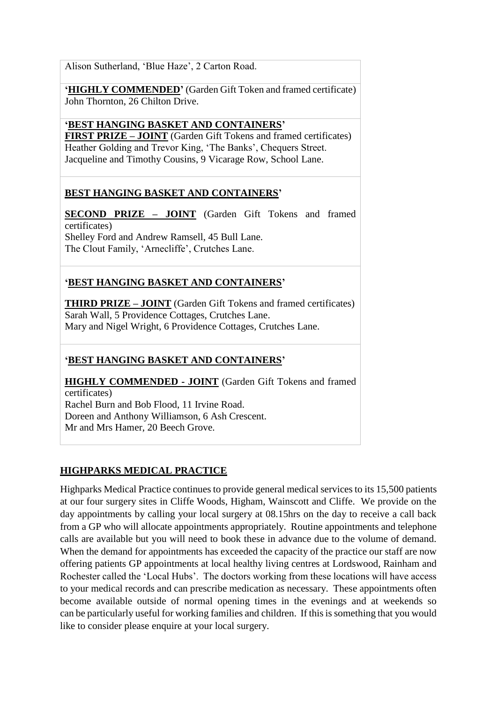Alison Sutherland, 'Blue Haze', 2 Carton Road.

**'HIGHLY COMMENDED'** (Garden Gift Token and framed certificate) John Thornton, 26 Chilton Drive.

**'BEST HANGING BASKET AND CONTAINERS' FIRST PRIZE – JOINT** (Garden Gift Tokens and framed certificates) Heather Golding and Trevor King, 'The Banks', Chequers Street. Jacqueline and Timothy Cousins, 9 Vicarage Row, School Lane.

## **BEST HANGING BASKET AND CONTAINERS'**

**SECOND PRIZE – JOINT** (Garden Gift Tokens and framed certificates) Shelley Ford and Andrew Ramsell, 45 Bull Lane. The Clout Family, 'Arnecliffe', Crutches Lane.

# **'BEST HANGING BASKET AND CONTAINERS'**

**THIRD PRIZE – JOINT** (Garden Gift Tokens and framed certificates) Sarah Wall, 5 Providence Cottages, Crutches Lane. Mary and Nigel Wright, 6 Providence Cottages, Crutches Lane.

## **'BEST HANGING BASKET AND CONTAINERS'**

**HIGHLY COMMENDED - JOINT** (Garden Gift Tokens and framed certificates) Rachel Burn and Bob Flood, 11 Irvine Road. Doreen and Anthony Williamson, 6 Ash Crescent. Mr and Mrs Hamer, 20 Beech Grove.

#### **HIGHPARKS MEDICAL PRACTICE**

Highparks Medical Practice continues to provide general medical services to its 15,500 patients at our four surgery sites in Cliffe Woods, Higham, Wainscott and Cliffe. We provide on the day appointments by calling your local surgery at 08.15hrs on the day to receive a call back from a GP who will allocate appointments appropriately. Routine appointments and telephone calls are available but you will need to book these in advance due to the volume of demand. When the demand for appointments has exceeded the capacity of the practice our staff are now offering patients GP appointments at local healthy living centres at Lordswood, Rainham and Rochester called the 'Local Hubs'. The doctors working from these locations will have access to your medical records and can prescribe medication as necessary. These appointments often become available outside of normal opening times in the evenings and at weekends so can be particularly useful for working families and children. If this is something that you would like to consider please enquire at your local surgery.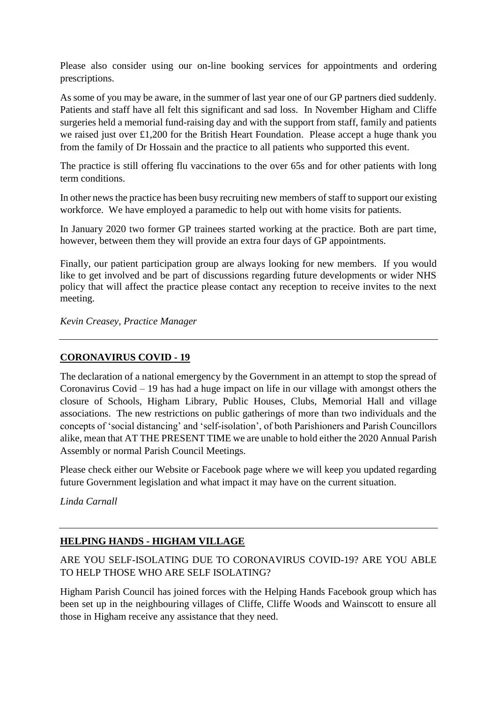Please also consider using our on-line booking services for appointments and ordering prescriptions.

As some of you may be aware, in the summer of last year one of our GP partners died suddenly. Patients and staff have all felt this significant and sad loss. In November Higham and Cliffe surgeries held a memorial fund-raising day and with the support from staff, family and patients we raised just over £1,200 for the British Heart Foundation. Please accept a huge thank you from the family of Dr Hossain and the practice to all patients who supported this event.

The practice is still offering flu vaccinations to the over 65s and for other patients with long term conditions.

In other news the practice has been busy recruiting new members of staff to support our existing workforce. We have employed a paramedic to help out with home visits for patients.

In January 2020 two former GP trainees started working at the practice. Both are part time, however, between them they will provide an extra four days of GP appointments.

Finally, our patient participation group are always looking for new members. If you would like to get involved and be part of discussions regarding future developments or wider NHS policy that will affect the practice please contact any reception to receive invites to the next meeting.

*Kevin Creasey, Practice Manager*

#### **CORONAVIRUS COVID - 19**

The declaration of a national emergency by the Government in an attempt to stop the spread of Coronavirus Covid – 19 has had a huge impact on life in our village with amongst others the closure of Schools, Higham Library, Public Houses, Clubs, Memorial Hall and village associations. The new restrictions on public gatherings of more than two individuals and the concepts of 'social distancing' and 'self-isolation', of both Parishioners and Parish Councillors alike, mean that AT THE PRESENT TIME we are unable to hold either the 2020 Annual Parish Assembly or normal Parish Council Meetings.

Please check either our Website or Facebook page where we will keep you updated regarding future Government legislation and what impact it may have on the current situation.

*Linda Carnall*

## **HELPING HANDS - HIGHAM VILLAGE**

ARE YOU SELF-ISOLATING DUE TO CORONAVIRUS COVID-19? ARE YOU ABLE TO HELP THOSE WHO ARE SELF ISOLATING?

Higham Parish Council has joined forces with the Helping Hands Facebook group which has been set up in the neighbouring villages of Cliffe, Cliffe Woods and Wainscott to ensure all those in Higham receive any assistance that they need.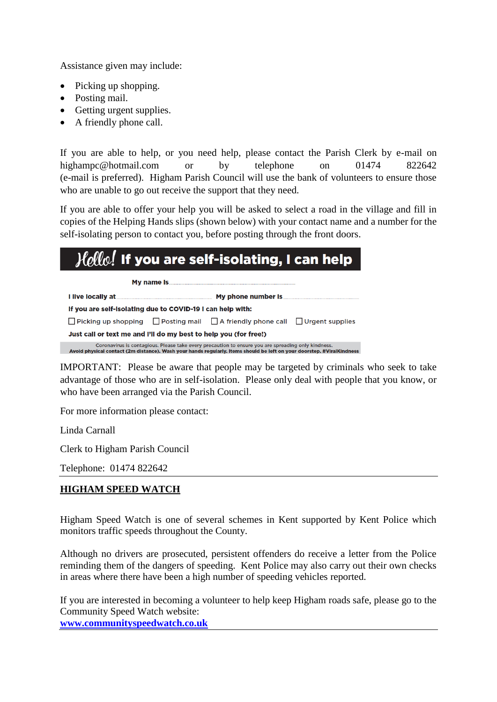Assistance given may include:

- Picking up shopping.
- Posting mail.
- Getting urgent supplies.
- A friendly phone call.

If you are able to help, or you need help, please contact the Parish Clerk by e-mail on highampc@hotmail.com or by telephone on 01474 822642 (e-mail is preferred). Higham Parish Council will use the bank of volunteers to ensure those who are unable to go out receive the support that they need.

If you are able to offer your help you will be asked to select a road in the village and fill in copies of the Helping Hands slips (shown below) with your contact name and a number for the self-isolating person to contact you, before posting through the front doors.

# $\mathcal{H}\hspace{-1pt}\mathit{ell}\hspace{-1pt}\mathit{w}\hspace{-1pt}.$  If you are self-isolating, I can help

My name Is. I live locally at. My phone number is If you are self-isolating due to COVID-19 I can help with: □ Picking up shopping □ Posting mail □ A friendly phone call □ Urgent supplies Just call or text me and I'll do my best to help you (for free!) Coronavirus is contagious. Please take every precaution to ensure you are spreading only kindness.<br>Avoid physical contact (2m distance). Wash your hands regularly. Items should be left on your doorstep. #ViralKindness

IMPORTANT: Please be aware that people may be targeted by criminals who seek to take advantage of those who are in self-isolation. Please only deal with people that you know, or who have been arranged via the Parish Council.

For more information please contact:

Linda Carnall

Clerk to Higham Parish Council

Telephone: 01474 822642

## **HIGHAM SPEED WATCH**

Higham Speed Watch is one of several schemes in Kent supported by Kent Police which monitors traffic speeds throughout the County.

Although no drivers are prosecuted, persistent offenders do receive a letter from the Police reminding them of the dangers of speeding. Kent Police may also carry out their own checks in areas where there have been a high number of speeding vehicles reported.

If you are interested in becoming a volunteer to help keep Higham roads safe, please go to the Community Speed Watch website: **[www.communityspeedwatch.co.uk](http://www.communityspeedwatch.co.uk/)**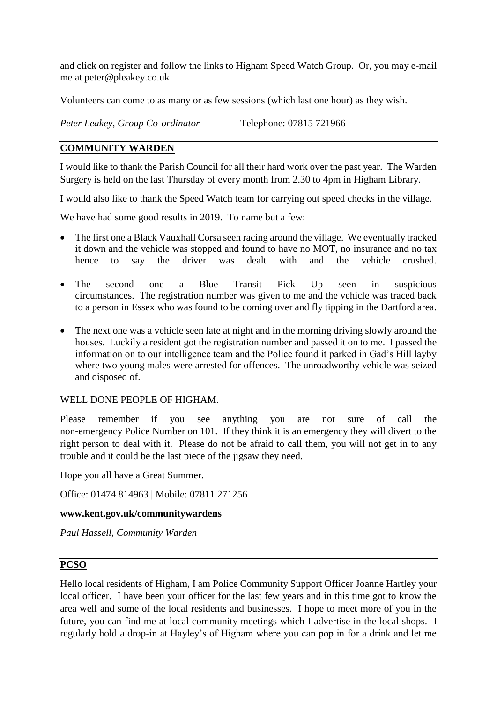and click on register and follow the links to Higham Speed Watch Group. Or, you may e-mail me at peter@pleakey.co.uk

Volunteers can come to as many or as few sessions (which last one hour) as they wish.

*Peter Leakey, Group Co-ordinator* Telephone: 07815 721966

#### **COMMUNITY WARDEN**

I would like to thank the Parish Council for all their hard work over the past year. The Warden Surgery is held on the last Thursday of every month from 2.30 to 4pm in Higham Library.

I would also like to thank the Speed Watch team for carrying out speed checks in the village.

We have had some good results in 2019. To name but a few:

- The first one a Black Vauxhall Corsa seen racing around the village. We eventually tracked it down and the vehicle was stopped and found to have no MOT, no insurance and no tax hence to say the driver was dealt with and the vehicle crushed.
- The second one a Blue Transit Pick Up seen in suspicious circumstances. The registration number was given to me and the vehicle was traced back to a person in Essex who was found to be coming over and fly tipping in the Dartford area.
- The next one was a vehicle seen late at night and in the morning driving slowly around the houses. Luckily a resident got the registration number and passed it on to me. I passed the information on to our intelligence team and the Police found it parked in Gad's Hill layby where two young males were arrested for offences. The unroadworthy vehicle was seized and disposed of.

#### WELL DONE PEOPLE OF HIGHAM.

Please remember if you see anything you are not sure of call the non-emergency Police Number on 101. If they think it is an emergency they will divert to the right person to deal with it. Please do not be afraid to call them, you will not get in to any trouble and it could be the last piece of the jigsaw they need.

Hope you all have a Great Summer.

Office: 01474 814963 | Mobile: 07811 271256

#### **www.kent.gov.uk/communitywardens**

*Paul Hassell, Community Warden*

#### **PCSO**

Hello local residents of Higham, I am Police Community Support Officer Joanne Hartley your local officer. I have been your officer for the last few years and in this time got to know the area well and some of the local residents and businesses. I hope to meet more of you in the future, you can find me at local community meetings which I advertise in the local shops. I regularly hold a drop-in at Hayley's of Higham where you can pop in for a drink and let me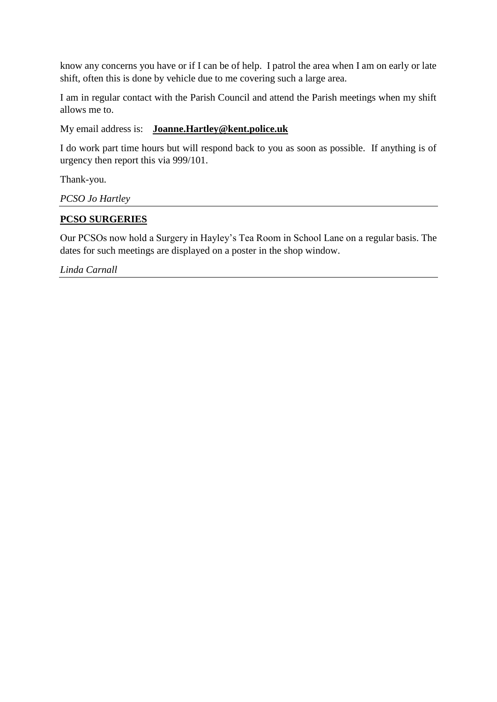know any concerns you have or if I can be of help. I patrol the area when I am on early or late shift, often this is done by vehicle due to me covering such a large area.

I am in regular contact with the Parish Council and attend the Parish meetings when my shift allows me to.

My email address is: **[Joanne.Hartley@kent.police.uk](mailto:Joanne.Hartley@kent.police.uk)**

I do work part time hours but will respond back to you as soon as possible. If anything is of urgency then report this via 999/101.

Thank-you.

*PCSO Jo Hartley*

#### **PCSO SURGERIES**

Our PCSOs now hold a Surgery in Hayley's Tea Room in School Lane on a regular basis. The dates for such meetings are displayed on a poster in the shop window.

*Linda Carnall*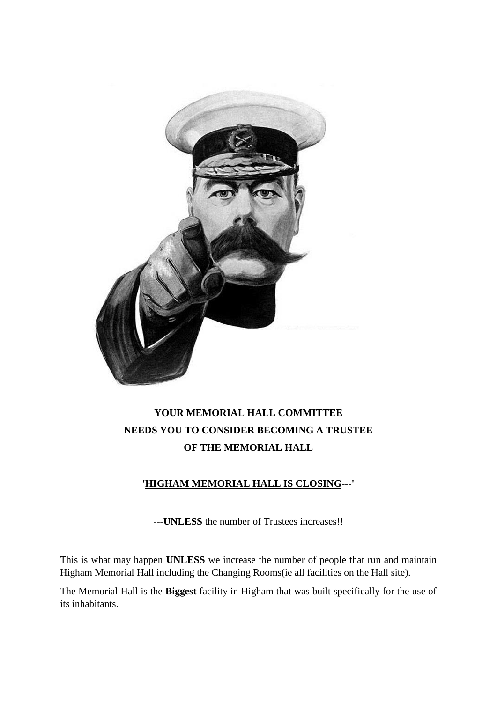

# **YOUR MEMORIAL HALL COMMITTEE NEEDS YOU TO CONSIDER BECOMING A TRUSTEE OF THE MEMORIAL HALL**

## **'HIGHAM MEMORIAL HALL IS CLOSING---'**

---**UNLESS** the number of Trustees increases!!

This is what may happen **UNLESS** we increase the number of people that run and maintain Higham Memorial Hall including the Changing Rooms(ie all facilities on the Hall site).

The Memorial Hall is the **Biggest** facility in Higham that was built specifically for the use of its inhabitants.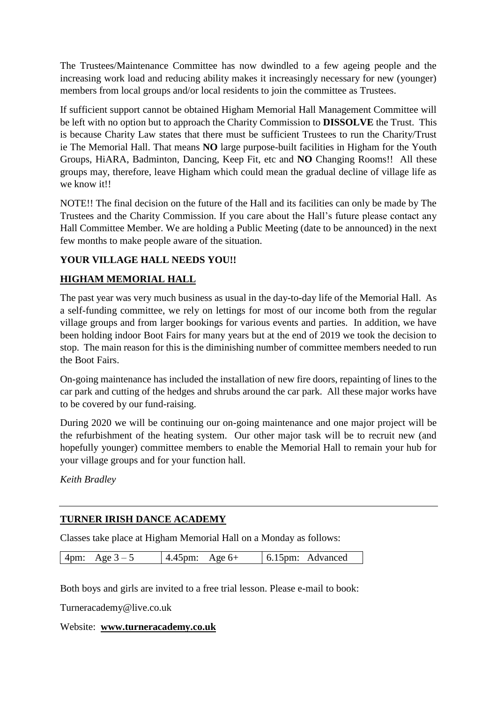The Trustees/Maintenance Committee has now dwindled to a few ageing people and the increasing work load and reducing ability makes it increasingly necessary for new (younger) members from local groups and/or local residents to join the committee as Trustees.

If sufficient support cannot be obtained Higham Memorial Hall Management Committee will be left with no option but to approach the Charity Commission to **DISSOLVE** the Trust. This is because Charity Law states that there must be sufficient Trustees to run the Charity/Trust ie The Memorial Hall. That means **NO** large purpose-built facilities in Higham for the Youth Groups, HiARA, Badminton, Dancing, Keep Fit, etc and **NO** Changing Rooms!! All these groups may, therefore, leave Higham which could mean the gradual decline of village life as we know it!!

NOTE!! The final decision on the future of the Hall and its facilities can only be made by The Trustees and the Charity Commission. If you care about the Hall's future please contact any Hall Committee Member. We are holding a Public Meeting (date to be announced) in the next few months to make people aware of the situation.

## **YOUR VILLAGE HALL NEEDS YOU!!**

#### **HIGHAM MEMORIAL HALL**

The past year was very much business as usual in the day-to-day life of the Memorial Hall. As a self-funding committee, we rely on lettings for most of our income both from the regular village groups and from larger bookings for various events and parties. In addition, we have been holding indoor Boot Fairs for many years but at the end of 2019 we took the decision to stop. The main reason for this is the diminishing number of committee members needed to run the Boot Fairs.

On-going maintenance has included the installation of new fire doors, repainting of lines to the car park and cutting of the hedges and shrubs around the car park. All these major works have to be covered by our fund-raising.

During 2020 we will be continuing our on-going maintenance and one major project will be the refurbishment of the heating system. Our other major task will be to recruit new (and hopefully younger) committee members to enable the Memorial Hall to remain your hub for your village groups and for your function hall.

*Keith Bradley*

## **TURNER IRISH DANCE ACADEMY**

Classes take place at Higham Memorial Hall on a Monday as follows:

Both boys and girls are invited to a free trial lesson. Please e-mail to book:

Turneracademy@live.co.uk

Website: **[www.turneracademy.co.uk](http://www.turneracademy.co.uk/)**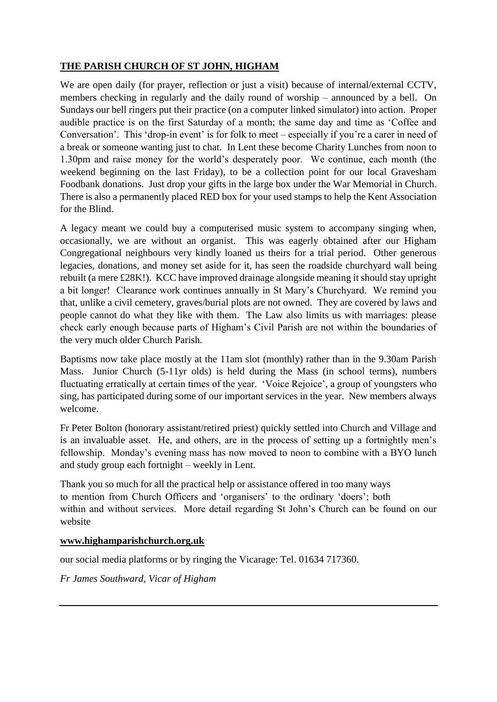# **THE PARISH CHURCH OF ST JOHN, HIGHAM**

We are open daily (for prayer, reflection or just a visit) because of internal/external CCTV, members checking in regularly and the daily round of worship – announced by a bell. On Sundays our bell ringers put their practice (on a computer linked simulator) into action. Proper audible practice is on the first Saturday of a month; the same day and time as 'Coffee and Conversation'. This 'drop-in event' is for folk to meet – especially if you're a carer in need of a break or someone wanting just to chat. In Lent these become Charity Lunches from noon to 1.30pm and raise money for the world's desperately poor. We continue, each month (the weekend beginning on the last Friday), to be a collection point for our local Gravesham Foodbank donations. Just drop your gifts in the large box under the War Memorial in Church. There is also a permanently placed RED box for your used stamps to help the Kent Association for the Blind.

A legacy meant we could buy a computerised music system to accompany singing when, occasionally, we are without an organist. This was eagerly obtained after our Higham Congregational neighbours very kindly loaned us theirs for a trial period. Other generous legacies, donations, and money set aside for it, has seen the roadside churchyard wall being rebuilt (a mere £28K!). KCC have improved drainage alongside meaning it should stay upright a bit longer! Clearance work continues annually in St Mary's Churchyard. We remind you that, unlike a civil cemetery, graves/burial plots are not owned. They are covered by laws and people cannot do what they like with them. The Law also limits us with marriages: please check early enough because parts of Higham's Civil Parish are not within the boundaries of the very much older Church Parish.

Baptisms now take place mostly at the 11am slot (monthly) rather than in the 9.30am Parish Mass. Junior Church (5-11yr olds) is held during the Mass (in school terms), numbers fluctuating erratically at certain times of the year. 'Voice Rejoice', a group of youngsters who sing, has participated during some of our important services in the year. New members always welcome.

Fr Peter Bolton (honorary assistant/retired priest) quickly settled into Church and Village and is an invaluable asset. He, and others, are in the process of setting up a fortnightly men's fellowship. Monday's evening mass has now moved to noon to combine with a BYO lunch and study group each fortnight – weekly in Lent.

Thank you so much for all the practical help or assistance offered in too many ways to mention from Church Officers and 'organisers' to the ordinary 'doers'; both within and without services. More detail regarding St John's Church can be found on our website

#### **[www.highamparishchurch.org.uk](http://www.highamparishchurch.org.uk/)**

our social media platforms or by ringing the Vicarage: Tel. 01634 717360.

*Fr James Southward, Vicar of Higham*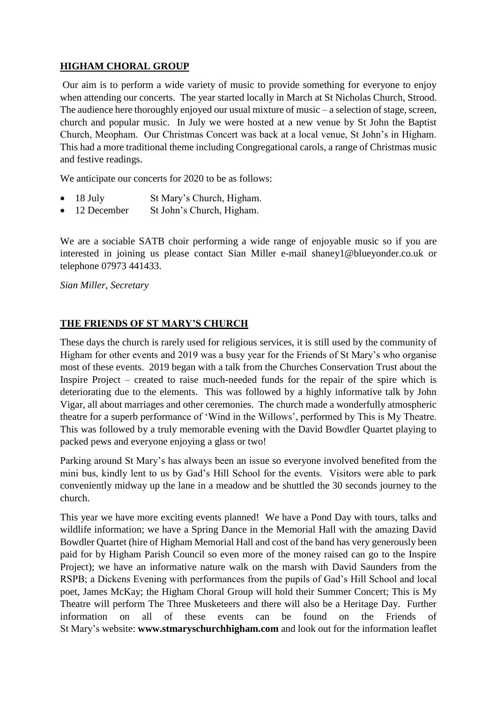## **HIGHAM CHORAL GROUP**

Our aim is to perform a wide variety of music to provide something for everyone to enjoy when attending our concerts. The year started locally in March at St Nicholas Church, Strood. The audience here thoroughly enjoyed our usual mixture of music – a selection of stage, screen, church and popular music. In July we were hosted at a new venue by St John the Baptist Church, Meopham. Our Christmas Concert was back at a local venue, St John's in Higham. This had a more traditional theme including Congregational carols, a range of Christmas music and festive readings.

We anticipate our concerts for 2020 to be as follows:

- 18 July St Mary's Church, Higham.
- 12 December St John's Church, Higham.

We are a sociable SATB choir performing a wide range of enjoyable music so if you are interested in joining us please contact Sian Miller e-mail shaney1@blueyonder.co.uk or telephone 07973 441433.

*Sian Miller, Secretary*

## **THE FRIENDS OF ST MARY'S CHURCH**

These days the church is rarely used for religious services, it is still used by the community of Higham for other events and 2019 was a busy year for the Friends of St Mary's who organise most of these events. 2019 began with a talk from the Churches Conservation Trust about the Inspire Project – created to raise much-needed funds for the repair of the spire which is deteriorating due to the elements. This was followed by a highly informative talk by John Vigar, all about marriages and other ceremonies. The church made a wonderfully atmospheric theatre for a superb performance of 'Wind in the Willows', performed by This is My Theatre. This was followed by a truly memorable evening with the David Bowdler Quartet playing to packed pews and everyone enjoying a glass or two!

Parking around St Mary's has always been an issue so everyone involved benefited from the mini bus, kindly lent to us by Gad's Hill School for the events. Visitors were able to park conveniently midway up the lane in a meadow and be shuttled the 30 seconds journey to the church.

This year we have more exciting events planned! We have a Pond Day with tours, talks and wildlife information; we have a Spring Dance in the Memorial Hall with the amazing David Bowdler Quartet (hire of Higham Memorial Hall and cost of the band has very generously been paid for by Higham Parish Council so even more of the money raised can go to the Inspire Project); we have an informative nature walk on the marsh with David Saunders from the RSPB; a Dickens Evening with performances from the pupils of Gad's Hill School and local poet, James McKay; the Higham Choral Group will hold their Summer Concert; This is My Theatre will perform The Three Musketeers and there will also be a Heritage Day. Further information on all of these events can be found on the Friends of St Mary's website: **www.stmaryschurchhigham.com** and look out for the information leaflet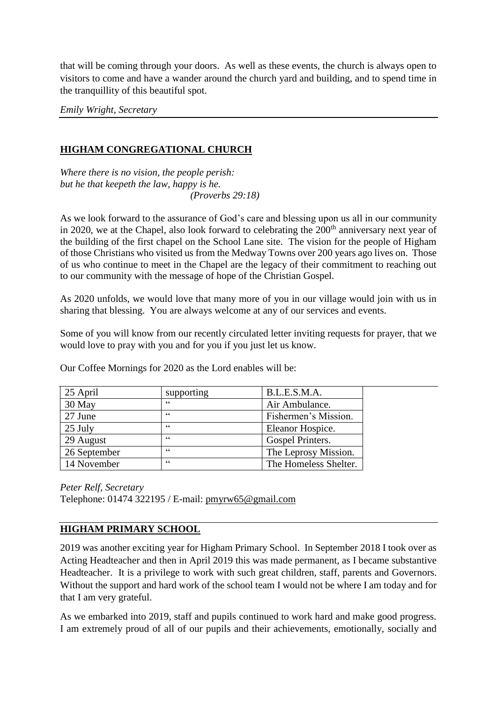that will be coming through your doors. As well as these events, the church is always open to visitors to come and have a wander around the church yard and building, and to spend time in the tranquillity of this beautiful spot.

*Emily Wright, Secretary*

## **HIGHAM CONGREGATIONAL CHURCH**

*Where there is no vision, the people perish: but he that keepeth the law, happy is he. (Proverbs 29:18)*

As we look forward to the assurance of God's care and blessing upon us all in our community in 2020, we at the Chapel, also look forward to celebrating the 200<sup>th</sup> anniversary next year of the building of the first chapel on the School Lane site. The vision for the people of Higham of those Christians who visited us from the Medway Towns over 200 years ago lives on. Those of us who continue to meet in the Chapel are the legacy of their commitment to reaching out to our community with the message of hope of the Christian Gospel.

As 2020 unfolds, we would love that many more of you in our village would join with us in sharing that blessing. You are always welcome at any of our services and events.

Some of you will know from our recently circulated letter inviting requests for prayer, that we would love to pray with you and for you if you just let us know.

Our Coffee Mornings for 2020 as the Lord enables will be:

| 25 April     | supporting | B.L.E.S.M.A.          |  |
|--------------|------------|-----------------------|--|
| 30 May       | cc         | Air Ambulance.        |  |
| 27 June      | $\epsilon$ | Fishermen's Mission.  |  |
| 25 July      | $\epsilon$ | Eleanor Hospice.      |  |
| 29 August    | $\epsilon$ | Gospel Printers.      |  |
| 26 September | $\epsilon$ | The Leprosy Mission.  |  |
| 14 November  | $\epsilon$ | The Homeless Shelter. |  |

*Peter Relf, Secretary* Telephone: 01474 322195 / E-mail: [pmyrw65@gmail.com](mailto:pmyrw65@gmail.com)

#### **HIGHAM PRIMARY SCHOOL**

2019 was another exciting year for Higham Primary School. In September 2018 I took over as Acting Headteacher and then in April 2019 this was made permanent, as I became substantive Headteacher. It is a privilege to work with such great children, staff, parents and Governors. Without the support and hard work of the school team I would not be where I am today and for that I am very grateful.

As we embarked into 2019, staff and pupils continued to work hard and make good progress. I am extremely proud of all of our pupils and their achievements, emotionally, socially and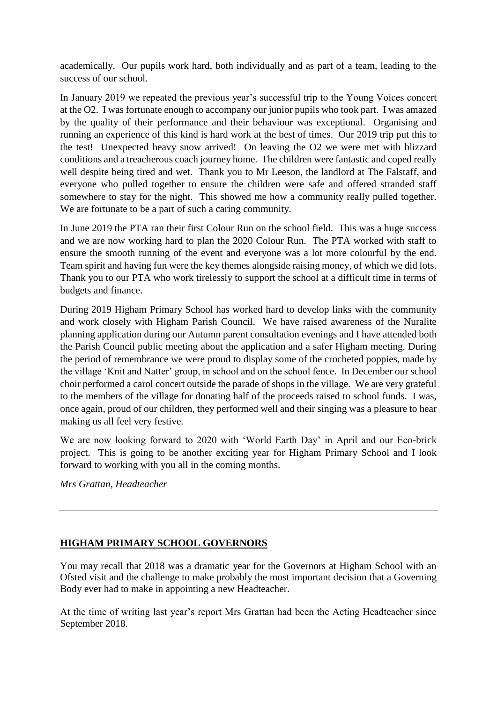academically. Our pupils work hard, both individually and as part of a team, leading to the success of our school.

In January 2019 we repeated the previous year's successful trip to the Young Voices concert at the O2. I was fortunate enough to accompany our junior pupils who took part. I was amazed by the quality of their performance and their behaviour was exceptional. Organising and running an experience of this kind is hard work at the best of times. Our 2019 trip put this to the test! Unexpected heavy snow arrived! On leaving the O2 we were met with blizzard conditions and a treacherous coach journey home. The children were fantastic and coped really well despite being tired and wet. Thank you to Mr Leeson, the landlord at The Falstaff, and everyone who pulled together to ensure the children were safe and offered stranded staff somewhere to stay for the night. This showed me how a community really pulled together. We are fortunate to be a part of such a caring community.

In June 2019 the PTA ran their first Colour Run on the school field. This was a huge success and we are now working hard to plan the 2020 Colour Run. The PTA worked with staff to ensure the smooth running of the event and everyone was a lot more colourful by the end. Team spirit and having fun were the key themes alongside raising money, of which we did lots. Thank you to our PTA who work tirelessly to support the school at a difficult time in terms of budgets and finance.

During 2019 Higham Primary School has worked hard to develop links with the community and work closely with Higham Parish Council. We have raised awareness of the Nuralite planning application during our Autumn parent consultation evenings and I have attended both the Parish Council public meeting about the application and a safer Higham meeting. During the period of remembrance we were proud to display some of the crocheted poppies, made by the village 'Knit and Natter' group, in school and on the school fence. In December our school choir performed a carol concert outside the parade of shops in the village. We are very grateful to the members of the village for donating half of the proceeds raised to school funds. I was, once again, proud of our children, they performed well and their singing was a pleasure to hear making us all feel very festive.

We are now looking forward to 2020 with 'World Earth Day' in April and our Eco-brick project. This is going to be another exciting year for Higham Primary School and I look forward to working with you all in the coming months.

*Mrs Grattan, Headteacher*

## **HIGHAM PRIMARY SCHOOL GOVERNORS**

You may recall that 2018 was a dramatic year for the Governors at Higham School with an Ofsted visit and the challenge to make probably the most important decision that a Governing Body ever had to make in appointing a new Headteacher.

At the time of writing last year's report Mrs Grattan had been the Acting Headteacher since September 2018.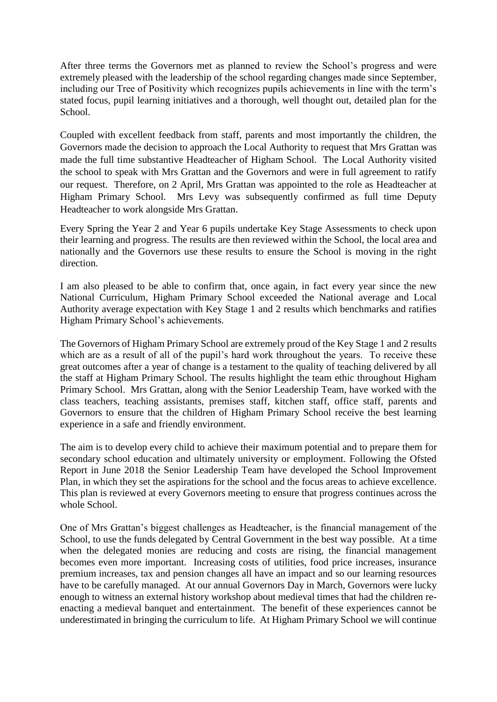After three terms the Governors met as planned to review the School's progress and were extremely pleased with the leadership of the school regarding changes made since September, including our Tree of Positivity which recognizes pupils achievements in line with the term's stated focus, pupil learning initiatives and a thorough, well thought out, detailed plan for the School.

Coupled with excellent feedback from staff, parents and most importantly the children, the Governors made the decision to approach the Local Authority to request that Mrs Grattan was made the full time substantive Headteacher of Higham School. The Local Authority visited the school to speak with Mrs Grattan and the Governors and were in full agreement to ratify our request. Therefore, on 2 April, Mrs Grattan was appointed to the role as Headteacher at Higham Primary School. Mrs Levy was subsequently confirmed as full time Deputy Headteacher to work alongside Mrs Grattan.

Every Spring the Year 2 and Year 6 pupils undertake Key Stage Assessments to check upon their learning and progress. The results are then reviewed within the School, the local area and nationally and the Governors use these results to ensure the School is moving in the right direction.

I am also pleased to be able to confirm that, once again, in fact every year since the new National Curriculum, Higham Primary School exceeded the National average and Local Authority average expectation with Key Stage 1 and 2 results which benchmarks and ratifies Higham Primary School's achievements.

The Governors of Higham Primary School are extremely proud of the Key Stage 1 and 2 results which are as a result of all of the pupil's hard work throughout the years. To receive these great outcomes after a year of change is a testament to the quality of teaching delivered by all the staff at Higham Primary School. The results highlight the team ethic throughout Higham Primary School. Mrs Grattan, along with the Senior Leadership Team, have worked with the class teachers, teaching assistants, premises staff, kitchen staff, office staff, parents and Governors to ensure that the children of Higham Primary School receive the best learning experience in a safe and friendly environment.

The aim is to develop every child to achieve their maximum potential and to prepare them for secondary school education and ultimately university or employment. Following the Ofsted Report in June 2018 the Senior Leadership Team have developed the School Improvement Plan, in which they set the aspirations for the school and the focus areas to achieve excellence. This plan is reviewed at every Governors meeting to ensure that progress continues across the whole School.

One of Mrs Grattan's biggest challenges as Headteacher, is the financial management of the School, to use the funds delegated by Central Government in the best way possible. At a time when the delegated monies are reducing and costs are rising, the financial management becomes even more important. Increasing costs of utilities, food price increases, insurance premium increases, tax and pension changes all have an impact and so our learning resources have to be carefully managed. At our annual Governors Day in March, Governors were lucky enough to witness an external history workshop about medieval times that had the children reenacting a medieval banquet and entertainment. The benefit of these experiences cannot be underestimated in bringing the curriculum to life. At Higham Primary School we will continue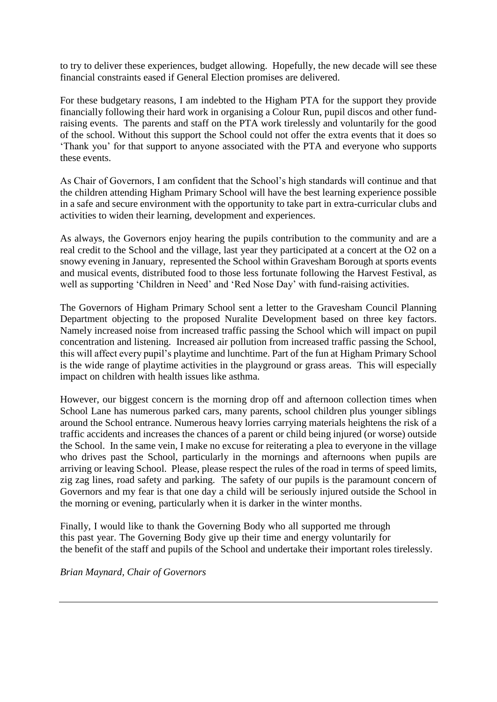to try to deliver these experiences, budget allowing. Hopefully, the new decade will see these financial constraints eased if General Election promises are delivered.

For these budgetary reasons, I am indebted to the Higham PTA for the support they provide financially following their hard work in organising a Colour Run, pupil discos and other fundraising events. The parents and staff on the PTA work tirelessly and voluntarily for the good of the school. Without this support the School could not offer the extra events that it does so 'Thank you' for that support to anyone associated with the PTA and everyone who supports these events.

As Chair of Governors, I am confident that the School's high standards will continue and that the children attending Higham Primary School will have the best learning experience possible in a safe and secure environment with the opportunity to take part in extra-curricular clubs and activities to widen their learning, development and experiences.

As always, the Governors enjoy hearing the pupils contribution to the community and are a real credit to the School and the village, last year they participated at a concert at the O2 on a snowy evening in January, represented the School within Gravesham Borough at sports events and musical events, distributed food to those less fortunate following the Harvest Festival, as well as supporting 'Children in Need' and 'Red Nose Day' with fund-raising activities.

The Governors of Higham Primary School sent a letter to the Gravesham Council Planning Department objecting to the proposed Nuralite Development based on three key factors. Namely increased noise from increased traffic passing the School which will impact on pupil concentration and listening. Increased air pollution from increased traffic passing the School, this will affect every pupil's playtime and lunchtime. Part of the fun at Higham Primary School is the wide range of playtime activities in the playground or grass areas. This will especially impact on children with health issues like asthma.

However, our biggest concern is the morning drop off and afternoon collection times when School Lane has numerous parked cars, many parents, school children plus younger siblings around the School entrance. Numerous heavy lorries carrying materials heightens the risk of a traffic accidents and increases the chances of a parent or child being injured (or worse) outside the School. In the same vein, I make no excuse for reiterating a plea to everyone in the village who drives past the School, particularly in the mornings and afternoons when pupils are arriving or leaving School. Please, please respect the rules of the road in terms of speed limits, zig zag lines, road safety and parking. The safety of our pupils is the paramount concern of Governors and my fear is that one day a child will be seriously injured outside the School in the morning or evening, particularly when it is darker in the winter months.

Finally, I would like to thank the Governing Body who all supported me through this past year. The Governing Body give up their time and energy voluntarily for the benefit of the staff and pupils of the School and undertake their important roles tirelessly.

*Brian Maynard, Chair of Governors*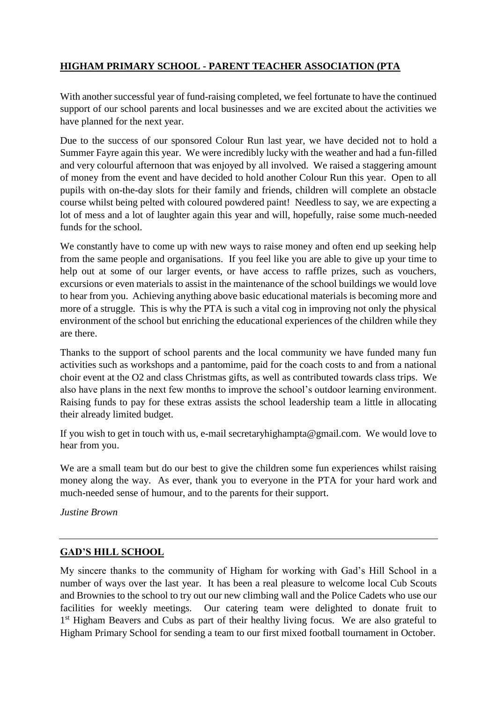# **HIGHAM PRIMARY SCHOOL - PARENT TEACHER ASSOCIATION (PTA**

With another successful year of fund-raising completed, we feel fortunate to have the continued support of our school parents and local businesses and we are excited about the activities we have planned for the next year.

Due to the success of our sponsored Colour Run last year, we have decided not to hold a Summer Fayre again this year. We were incredibly lucky with the weather and had a fun-filled and very colourful afternoon that was enjoyed by all involved. We raised a staggering amount of money from the event and have decided to hold another Colour Run this year. Open to all pupils with on-the-day slots for their family and friends, children will complete an obstacle course whilst being pelted with coloured powdered paint! Needless to say, we are expecting a lot of mess and a lot of laughter again this year and will, hopefully, raise some much-needed funds for the school.

We constantly have to come up with new ways to raise money and often end up seeking help from the same people and organisations. If you feel like you are able to give up your time to help out at some of our larger events, or have access to raffle prizes, such as vouchers, excursions or even materials to assist in the maintenance of the school buildings we would love to hear from you. Achieving anything above basic educational materials is becoming more and more of a struggle. This is why the PTA is such a vital cog in improving not only the physical environment of the school but enriching the educational experiences of the children while they are there.

Thanks to the support of school parents and the local community we have funded many fun activities such as workshops and a pantomime, paid for the coach costs to and from a national choir event at the O2 and class Christmas gifts, as well as contributed towards class trips. We also have plans in the next few months to improve the school's outdoor learning environment. Raising funds to pay for these extras assists the school leadership team a little in allocating their already limited budget.

If you wish to get in touch with us, e-mail secretaryhighampta@gmail.com. We would love to hear from you.

We are a small team but do our best to give the children some fun experiences whilst raising money along the way. As ever, thank you to everyone in the PTA for your hard work and much-needed sense of humour, and to the parents for their support.

*Justine Brown*

#### **GAD'S HILL SCHOOL**

My sincere thanks to the community of Higham for working with Gad's Hill School in a number of ways over the last year. It has been a real pleasure to welcome local Cub Scouts and Brownies to the school to try out our new climbing wall and the Police Cadets who use our facilities for weekly meetings. Our catering team were delighted to donate fruit to 1<sup>st</sup> Higham Beavers and Cubs as part of their healthy living focus. We are also grateful to Higham Primary School for sending a team to our first mixed football tournament in October.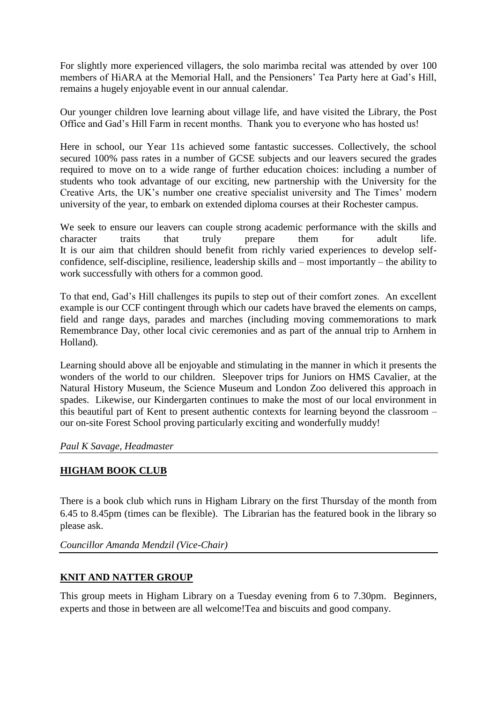For slightly more experienced villagers, the solo marimba recital was attended by over 100 members of HiARA at the Memorial Hall, and the Pensioners' Tea Party here at Gad's Hill, remains a hugely enjoyable event in our annual calendar.

Our younger children love learning about village life, and have visited the Library, the Post Office and Gad's Hill Farm in recent months. Thank you to everyone who has hosted us!

Here in school, our Year 11s achieved some fantastic successes. Collectively, the school secured 100% pass rates in a number of GCSE subjects and our leavers secured the grades required to move on to a wide range of further education choices: including a number of students who took advantage of our exciting, new partnership with the University for the Creative Arts, the UK's number one creative specialist university and The Times' modern university of the year, to embark on extended diploma courses at their Rochester campus.

We seek to ensure our leavers can couple strong academic performance with the skills and character traits that truly prepare them for adult life. It is our aim that children should benefit from richly varied experiences to develop selfconfidence, self-discipline, resilience, leadership skills and – most importantly – the ability to work successfully with others for a common good.

To that end, Gad's Hill challenges its pupils to step out of their comfort zones. An excellent example is our CCF contingent through which our cadets have braved the elements on camps, field and range days, parades and marches (including moving commemorations to mark Remembrance Day, other local civic ceremonies and as part of the annual trip to Arnhem in Holland).

Learning should above all be enjoyable and stimulating in the manner in which it presents the wonders of the world to our children. Sleepover trips for Juniors on HMS Cavalier, at the Natural History Museum, the Science Museum and London Zoo delivered this approach in spades. Likewise, our Kindergarten continues to make the most of our local environment in this beautiful part of Kent to present authentic contexts for learning beyond the classroom – our on-site Forest School proving particularly exciting and wonderfully muddy!

#### *Paul K Savage, Headmaster*

#### **HIGHAM BOOK CLUB**

There is a book club which runs in Higham Library on the first Thursday of the month from 6.45 to 8.45pm (times can be flexible). The Librarian has the featured book in the library so please ask.

*Councillor Amanda Mendzil (Vice-Chair)*

#### **KNIT AND NATTER GROUP**

This group meets in Higham Library on a Tuesday evening from 6 to 7.30pm. Beginners, experts and those in between are all welcome!Tea and biscuits and good company.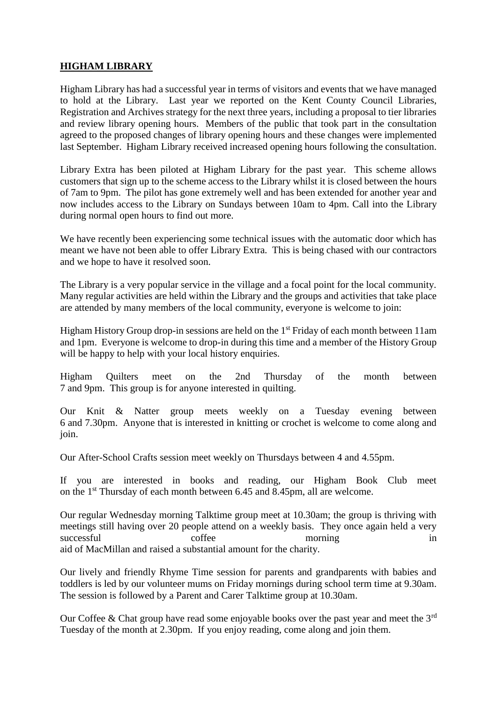#### **HIGHAM LIBRARY**

Higham Library has had a successful year in terms of visitors and events that we have managed to hold at the Library. Last year we reported on the Kent County Council Libraries, Registration and Archives strategy for the next three years, including a proposal to tier libraries and review library opening hours. Members of the public that took part in the consultation agreed to the proposed changes of library opening hours and these changes were implemented last September. Higham Library received increased opening hours following the consultation.

Library Extra has been piloted at Higham Library for the past year. This scheme allows customers that sign up to the scheme access to the Library whilst it is closed between the hours of 7am to 9pm. The pilot has gone extremely well and has been extended for another year and now includes access to the Library on Sundays between 10am to 4pm. Call into the Library during normal open hours to find out more.

We have recently been experiencing some technical issues with the automatic door which has meant we have not been able to offer Library Extra. This is being chased with our contractors and we hope to have it resolved soon.

The Library is a very popular service in the village and a focal point for the local community. Many regular activities are held within the Library and the groups and activities that take place are attended by many members of the local community, everyone is welcome to join:

Higham History Group drop-in sessions are held on the  $1<sup>st</sup>$  Friday of each month between 11am and 1pm. Everyone is welcome to drop-in during this time and a member of the History Group will be happy to help with your local history enquiries.

Higham Quilters meet on the 2nd Thursday of the month between 7 and 9pm. This group is for anyone interested in quilting.

Our Knit & Natter group meets weekly on a Tuesday evening between 6 and 7.30pm. Anyone that is interested in knitting or crochet is welcome to come along and join.

Our After-School Crafts session meet weekly on Thursdays between 4 and 4.55pm.

If you are interested in books and reading, our Higham Book Club meet on the 1st Thursday of each month between 6.45 and 8.45pm, all are welcome.

Our regular Wednesday morning Talktime group meet at 10.30am; the group is thriving with meetings still having over 20 people attend on a weekly basis. They once again held a very successful coffee morning in aid of MacMillan and raised a substantial amount for the charity.

Our lively and friendly Rhyme Time session for parents and grandparents with babies and toddlers is led by our volunteer mums on Friday mornings during school term time at 9.30am. The session is followed by a Parent and Carer Talktime group at 10.30am.

Our Coffee & Chat group have read some enjoyable books over the past year and meet the  $3<sup>rd</sup>$ Tuesday of the month at 2.30pm. If you enjoy reading, come along and join them.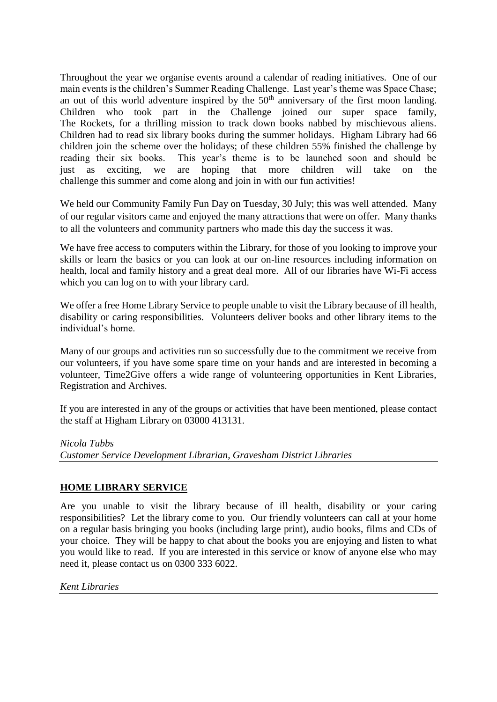Throughout the year we organise events around a calendar of reading initiatives. One of our main events is the children's Summer Reading Challenge. Last year's theme was Space Chase; an out of this world adventure inspired by the 50<sup>th</sup> anniversary of the first moon landing. Children who took part in the Challenge joined our super space family, The Rockets, for a thrilling mission to track down books nabbed by mischievous aliens. Children had to read six library books during the summer holidays. Higham Library had 66 children join the scheme over the holidays; of these children 55% finished the challenge by reading their six books. This year's theme is to be launched soon and should be just as exciting, we are hoping that more children will take on the challenge this summer and come along and join in with our fun activities!

We held our Community Family Fun Day on Tuesday, 30 July; this was well attended. Many of our regular visitors came and enjoyed the many attractions that were on offer. Many thanks to all the volunteers and community partners who made this day the success it was.

We have free access to computers within the Library, for those of you looking to improve your skills or learn the basics or you can look at our on-line resources including information on health, local and family history and a great deal more. All of our libraries have Wi-Fi access which you can log on to with your library card.

We offer a free Home Library Service to people unable to visit the Library because of ill health, disability or caring responsibilities. Volunteers deliver books and other library items to the individual's home.

Many of our groups and activities run so successfully due to the commitment we receive from our volunteers, if you have some spare time on your hands and are interested in becoming a volunteer, Time2Give offers a wide range of volunteering opportunities in Kent Libraries, Registration and Archives.

If you are interested in any of the groups or activities that have been mentioned, please contact the staff at Higham Library on 03000 413131.

#### *Nicola Tubbs*

*Customer Service Development Librarian, Gravesham District Libraries*

#### **HOME LIBRARY SERVICE**

Are you unable to visit the library because of ill health, disability or your caring responsibilities? Let the library come to you. Our friendly volunteers can call at your home on a regular basis bringing you books (including large print), audio books, films and CDs of your choice. They will be happy to chat about the books you are enjoying and listen to what you would like to read. If you are interested in this service or know of anyone else who may need it, please contact us on 0300 333 6022.

#### *Kent Libraries*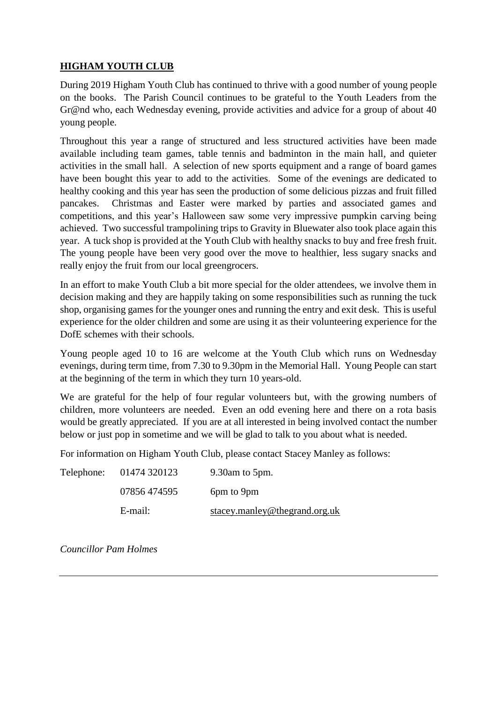## **HIGHAM YOUTH CLUB**

During 2019 Higham Youth Club has continued to thrive with a good number of young people on the books. The Parish Council continues to be grateful to the Youth Leaders from the Gr@nd who, each Wednesday evening, provide activities and advice for a group of about 40 young people.

Throughout this year a range of structured and less structured activities have been made available including team games, table tennis and badminton in the main hall, and quieter activities in the small hall. A selection of new sports equipment and a range of board games have been bought this year to add to the activities. Some of the evenings are dedicated to healthy cooking and this year has seen the production of some delicious pizzas and fruit filled pancakes. Christmas and Easter were marked by parties and associated games and competitions, and this year's Halloween saw some very impressive pumpkin carving being achieved. Two successful trampolining trips to Gravity in Bluewater also took place again this year. A tuck shop is provided at the Youth Club with healthy snacks to buy and free fresh fruit. The young people have been very good over the move to healthier, less sugary snacks and really enjoy the fruit from our local greengrocers.

In an effort to make Youth Club a bit more special for the older attendees, we involve them in decision making and they are happily taking on some responsibilities such as running the tuck shop, organising games for the younger ones and running the entry and exit desk. This is useful experience for the older children and some are using it as their volunteering experience for the DofE schemes with their schools.

Young people aged 10 to 16 are welcome at the Youth Club which runs on Wednesday evenings, during term time, from 7.30 to 9.30pm in the Memorial Hall. Young People can start at the beginning of the term in which they turn 10 years-old.

We are grateful for the help of four regular volunteers but, with the growing numbers of children, more volunteers are needed. Even an odd evening here and there on a rota basis would be greatly appreciated. If you are at all interested in being involved contact the number below or just pop in sometime and we will be glad to talk to you about what is needed.

For information on Higham Youth Club, please contact Stacey Manley as follows:

| Telephone: | 01474 320123 | 9.30am to 5pm.                |
|------------|--------------|-------------------------------|
|            | 07856 474595 | 6pm to 9pm                    |
|            | E-mail:      | stacey.manley@thegrand.org.uk |

*Councillor Pam Holmes*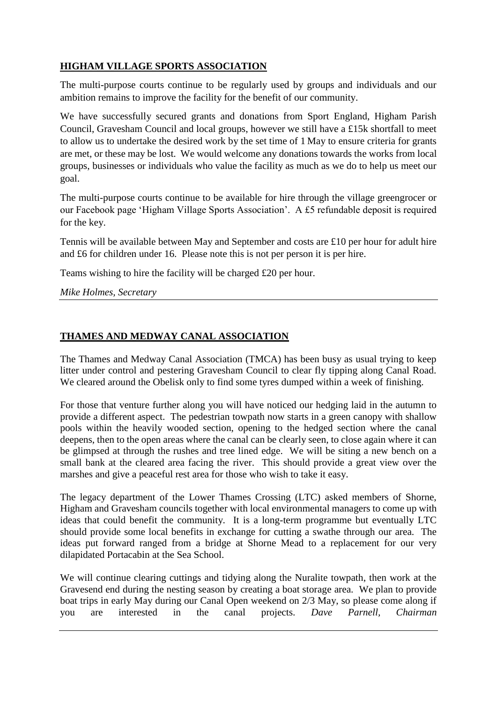## **HIGHAM VILLAGE SPORTS ASSOCIATION**

The multi-purpose courts continue to be regularly used by groups and individuals and our ambition remains to improve the facility for the benefit of our community.

We have successfully secured grants and donations from Sport England, Higham Parish Council, Gravesham Council and local groups, however we still have a £15k shortfall to meet to allow us to undertake the desired work by the set time of 1 May to ensure criteria for grants are met, or these may be lost. We would welcome any donations towards the works from local groups, businesses or individuals who value the facility as much as we do to help us meet our goal.

The multi-purpose courts continue to be available for hire through the village greengrocer or our Facebook page 'Higham Village Sports Association'. A £5 refundable deposit is required for the key.

Tennis will be available between May and September and costs are £10 per hour for adult hire and £6 for children under 16. Please note this is not per person it is per hire.

Teams wishing to hire the facility will be charged £20 per hour.

*Mike Holmes, Secretary*

## **THAMES AND MEDWAY CANAL ASSOCIATION**

The Thames and Medway Canal Association (TMCA) has been busy as usual trying to keep litter under control and pestering Gravesham Council to clear fly tipping along Canal Road. We cleared around the Obelisk only to find some tyres dumped within a week of finishing.

For those that venture further along you will have noticed our hedging laid in the autumn to provide a different aspect. The pedestrian towpath now starts in a green canopy with shallow pools within the heavily wooded section, opening to the hedged section where the canal deepens, then to the open areas where the canal can be clearly seen, to close again where it can be glimpsed at through the rushes and tree lined edge. We will be siting a new bench on a small bank at the cleared area facing the river. This should provide a great view over the marshes and give a peaceful rest area for those who wish to take it easy.

The legacy department of the Lower Thames Crossing (LTC) asked members of Shorne, Higham and Gravesham councils together with local environmental managers to come up with ideas that could benefit the community. It is a long-term programme but eventually LTC should provide some local benefits in exchange for cutting a swathe through our area. The ideas put forward ranged from a bridge at Shorne Mead to a replacement for our very dilapidated Portacabin at the Sea School.

We will continue clearing cuttings and tidying along the Nuralite towpath, then work at the Gravesend end during the nesting season by creating a boat storage area. We plan to provide boat trips in early May during our Canal Open weekend on 2/3 May, so please come along if you are interested in the canal projects. *Dave Parnell, Chairman*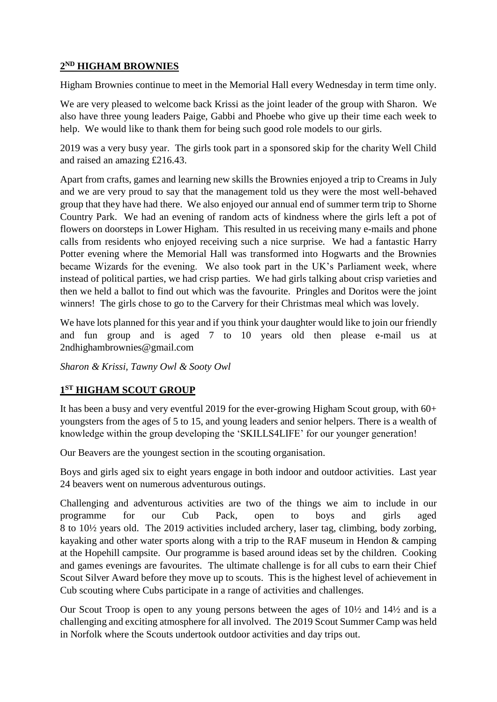#### **2 ND HIGHAM BROWNIES**

Higham Brownies continue to meet in the Memorial Hall every Wednesday in term time only.

We are very pleased to welcome back Krissi as the joint leader of the group with Sharon. We also have three young leaders Paige, Gabbi and Phoebe who give up their time each week to help. We would like to thank them for being such good role models to our girls.

2019 was a very busy year. The girls took part in a sponsored skip for the charity Well Child and raised an amazing £216.43.

Apart from crafts, games and learning new skills the Brownies enjoyed a trip to Creams in July and we are very proud to say that the management told us they were the most well-behaved group that they have had there. We also enjoyed our annual end of summer term trip to Shorne Country Park. We had an evening of random acts of kindness where the girls left a pot of flowers on doorsteps in Lower Higham. This resulted in us receiving many e-mails and phone calls from residents who enjoyed receiving such a nice surprise. We had a fantastic Harry Potter evening where the Memorial Hall was transformed into Hogwarts and the Brownies became Wizards for the evening. We also took part in the UK's Parliament week, where instead of political parties, we had crisp parties. We had girls talking about crisp varieties and then we held a ballot to find out which was the favourite. Pringles and Doritos were the joint winners! The girls chose to go to the Carvery for their Christmas meal which was lovely.

We have lots planned for this year and if you think your daughter would like to join our friendly and fun group and is aged 7 to 10 years old then please e-mail us at 2ndhighambrownies@gmail.com

*Sharon & Krissi, Tawny Owl & Sooty Owl* 

## **1 ST HIGHAM SCOUT GROUP**

It has been a busy and very eventful 2019 for the ever-growing Higham Scout group, with 60+ youngsters from the ages of 5 to 15, and young leaders and senior helpers. There is a wealth of knowledge within the group developing the 'SKILLS4LIFE' for our younger generation!

Our Beavers are the youngest section in the scouting organisation.

Boys and girls aged six to eight years engage in both indoor and outdoor activities. Last year 24 beavers went on numerous adventurous outings.

Challenging and adventurous activities are two of the things we aim to include in our programme for our Cub Pack, open to boys and girls aged 8 to 10½ years old. The 2019 activities included archery, laser tag, climbing, body zorbing, kayaking and other water sports along with a trip to the RAF museum in Hendon & camping at the Hopehill campsite. Our programme is based around ideas set by the children. Cooking and games evenings are favourites. The ultimate challenge is for all cubs to earn their Chief Scout Silver Award before they move up to scouts. This is the highest level of achievement in Cub scouting where Cubs participate in a range of activities and challenges.

Our Scout Troop is open to any young persons between the ages of 10½ and 14½ and is a challenging and exciting atmosphere for all involved. The 2019 Scout Summer Camp was held in Norfolk where the Scouts undertook outdoor activities and day trips out.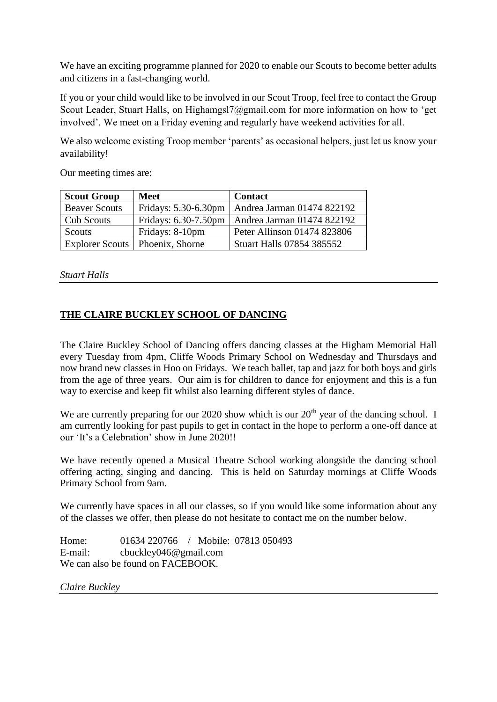We have an exciting programme planned for 2020 to enable our Scouts to become better adults and citizens in a fast-changing world.

If you or your child would like to be involved in our Scout Troop, feel free to contact the Group Scout Leader, Stuart Halls, on Highamgsl7@gmail.com for more information on how to 'get involved'. We meet on a Friday evening and regularly have weekend activities for all.

We also welcome existing Troop member 'parents' as occasional helpers, just let us know your availability!

Our meeting times are:

| <b>Scout Group</b>   | <b>Meet</b>                       | <b>Contact</b>                   |
|----------------------|-----------------------------------|----------------------------------|
| <b>Beaver Scouts</b> | Fridays: 5.30-6.30pm              | Andrea Jarman 01474 822192       |
| Cub Scouts           | Fridays: 6.30-7.50pm              | Andrea Jarman 01474 822192       |
| Scouts               | Fridays: 8-10pm                   | Peter Allinson 01474 823806      |
|                      | Explorer Scouts   Phoenix, Shorne | <b>Stuart Halls 07854 385552</b> |

*Stuart Halls*

#### **THE CLAIRE BUCKLEY SCHOOL OF DANCING**

The Claire Buckley School of Dancing offers dancing classes at the Higham Memorial Hall every Tuesday from 4pm, Cliffe Woods Primary School on Wednesday and Thursdays and now brand new classes in Hoo on Fridays. We teach ballet, tap and jazz for both boys and girls from the age of three years. Our aim is for children to dance for enjoyment and this is a fun way to exercise and keep fit whilst also learning different styles of dance.

We are currently preparing for our 2020 show which is our  $20<sup>th</sup>$  year of the dancing school. I am currently looking for past pupils to get in contact in the hope to perform a one-off dance at our 'It's a Celebration' show in June 2020!!

We have recently opened a Musical Theatre School working alongside the dancing school offering acting, singing and dancing. This is held on Saturday mornings at Cliffe Woods Primary School from 9am.

We currently have spaces in all our classes, so if you would like some information about any of the classes we offer, then please do not hesitate to contact me on the number below.

Home: 01634 220766 / Mobile: 07813 050493 E-mail: cbuckley046@gmail.com We can also be found on FACEBOOK.

*Claire Buckley*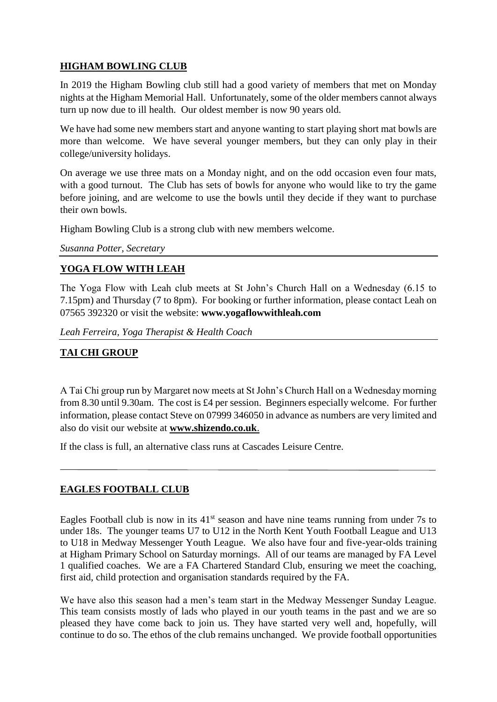## **HIGHAM BOWLING CLUB**

In 2019 the Higham Bowling club still had a good variety of members that met on Monday nights at the Higham Memorial Hall. Unfortunately, some of the older members cannot always turn up now due to ill health. Our oldest member is now 90 years old.

We have had some new members start and anyone wanting to start playing short mat bowls are more than welcome. We have several younger members, but they can only play in their college/university holidays.

On average we use three mats on a Monday night, and on the odd occasion even four mats, with a good turnout. The Club has sets of bowls for anyone who would like to try the game before joining, and are welcome to use the bowls until they decide if they want to purchase their own bowls.

Higham Bowling Club is a strong club with new members welcome.

*Susanna Potter, Secretary*

# **YOGA FLOW WITH LEAH**

The Yoga Flow with Leah club meets at St John's Church Hall on a Wednesday (6.15 to 7.15pm) and Thursday (7 to 8pm). For booking or further information, please contact Leah on 07565 392320 or visit the website: **www.yogaflowwithleah.com**

*Leah Ferreira, Yoga Therapist & Health Coach*

# **TAI CHI GROUP**

A Tai Chi group run by Margaret now meets at St John's Church Hall on a Wednesday morning from 8.30 until 9.30am. The cost is £4 per session. Beginners especially welcome. For further information, please contact Steve on 07999 346050 in advance as numbers are very limited and also do visit our website at **[www.shizendo.co.uk](http://www.shizendo.co.uk/)**.

If the class is full, an alternative class runs at Cascades Leisure Centre.

# **EAGLES FOOTBALL CLUB**

Eagles Football club is now in its  $41<sup>st</sup>$  season and have nine teams running from under 7s to under 18s. The younger teams U7 to U12 in the North Kent Youth Football League and U13 to U18 in Medway Messenger Youth League. We also have four and five-year-olds training at Higham Primary School on Saturday mornings. All of our teams are managed by FA Level 1 qualified coaches. We are a FA Chartered Standard Club, ensuring we meet the coaching, first aid, child protection and organisation standards required by the FA.

We have also this season had a men's team start in the Medway Messenger Sunday League. This team consists mostly of lads who played in our youth teams in the past and we are so pleased they have come back to join us. They have started very well and, hopefully, will continue to do so. The ethos of the club remains unchanged. We provide football opportunities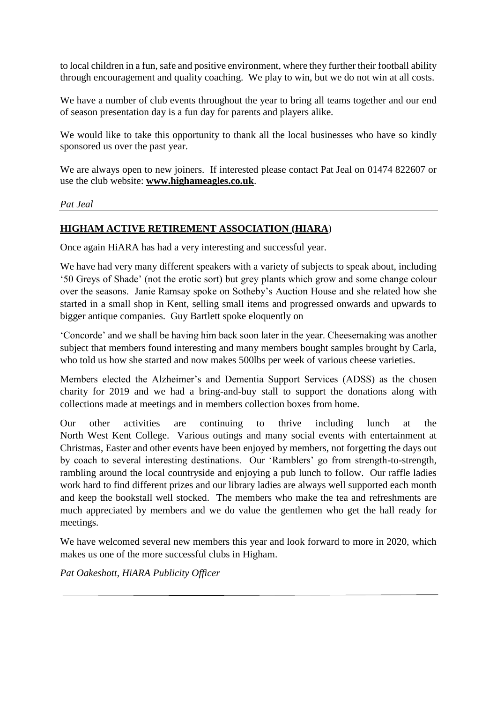to local children in a fun, safe and positive environment, where they further their football ability through encouragement and quality coaching. We play to win, but we do not win at all costs.

We have a number of club events throughout the year to bring all teams together and our end of season presentation day is a fun day for parents and players alike.

We would like to take this opportunity to thank all the local businesses who have so kindly sponsored us over the past year.

We are always open to new joiners. If interested please contact Pat Jeal on 01474 822607 or use the club website: **[www.highameagles.co.uk](http://www.highameagles.co.uk/)**.

*Pat Jeal*

## **HIGHAM ACTIVE RETIREMENT ASSOCIATION (HIARA**)

Once again HiARA has had a very interesting and successful year.

We have had very many different speakers with a variety of subjects to speak about, including '50 Greys of Shade' (not the erotic sort) but grey plants which grow and some change colour over the seasons. Janie Ramsay spoke on Sotheby's Auction House and she related how she started in a small shop in Kent, selling small items and progressed onwards and upwards to bigger antique companies. Guy Bartlett spoke eloquently on

'Concorde' and we shall be having him back soon later in the year. Cheesemaking was another subject that members found interesting and many members bought samples brought by Carla, who told us how she started and now makes 500lbs per week of various cheese varieties.

Members elected the Alzheimer's and Dementia Support Services (ADSS) as the chosen charity for 2019 and we had a bring-and-buy stall to support the donations along with collections made at meetings and in members collection boxes from home.

Our other activities are continuing to thrive including lunch at the North West Kent College. Various outings and many social events with entertainment at Christmas, Easter and other events have been enjoyed by members, not forgetting the days out by coach to several interesting destinations. Our 'Ramblers' go from strength-to-strength, rambling around the local countryside and enjoying a pub lunch to follow. Our raffle ladies work hard to find different prizes and our library ladies are always well supported each month and keep the bookstall well stocked. The members who make the tea and refreshments are much appreciated by members and we do value the gentlemen who get the hall ready for meetings.

We have welcomed several new members this year and look forward to more in 2020, which makes us one of the more successful clubs in Higham.

*Pat Oakeshott, HiARA Publicity Officer*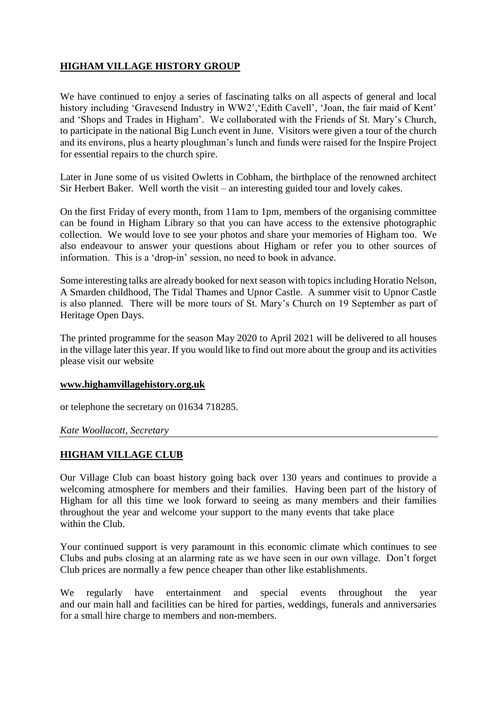# **HIGHAM VILLAGE HISTORY GROUP**

We have continued to enjoy a series of fascinating talks on all aspects of general and local history including 'Gravesend Industry in WW2', 'Edith Cavell', 'Joan, the fair maid of Kent' and 'Shops and Trades in Higham'. We collaborated with the Friends of St. Mary's Church, to participate in the national Big Lunch event in June. Visitors were given a tour of the church and its environs, plus a hearty ploughman's lunch and funds were raised for the Inspire Project for essential repairs to the church spire.

Later in June some of us visited Owletts in Cobham, the birthplace of the renowned architect Sir Herbert Baker. Well worth the visit – an interesting guided tour and lovely cakes.

On the first Friday of every month, from 11am to 1pm, members of the organising committee can be found in Higham Library so that you can have access to the extensive photographic collection. We would love to see your photos and share your memories of Higham too. We also endeavour to answer your questions about Higham or refer you to other sources of information. This is a 'drop-in' session, no need to book in advance.

Some interesting talks are already booked for next season with topics including Horatio Nelson, A Smarden childhood, The Tidal Thames and Upnor Castle. A summer visit to Upnor Castle is also planned. There will be more tours of St. Mary's Church on 19 September as part of Heritage Open Days.

The printed programme for the season May 2020 to April 2021 will be delivered to all houses in the village later this year. If you would like to find out more about the group and its activities please visit our website

#### **[www.highamvillagehistory.org.](http://www.highamvillagehistory.org/)uk**

or telephone the secretary on 01634 718285.

#### *Kate Woollacott, Secretary*

#### **HIGHAM VILLAGE CLUB**

Our Village Club can boast history going back over 130 years and continues to provide a welcoming atmosphere for members and their families. Having been part of the history of Higham for all this time we look forward to seeing as many members and their families throughout the year and welcome your support to the many events that take place within the Club.

Your continued support is very paramount in this economic climate which continues to see Clubs and pubs closing at an alarming rate as we have seen in our own village. Don't forget Club prices are normally a few pence cheaper than other like establishments.

We regularly have entertainment and special events throughout the year and our main hall and facilities can be hired for parties, weddings, funerals and anniversaries for a small hire charge to members and non-members.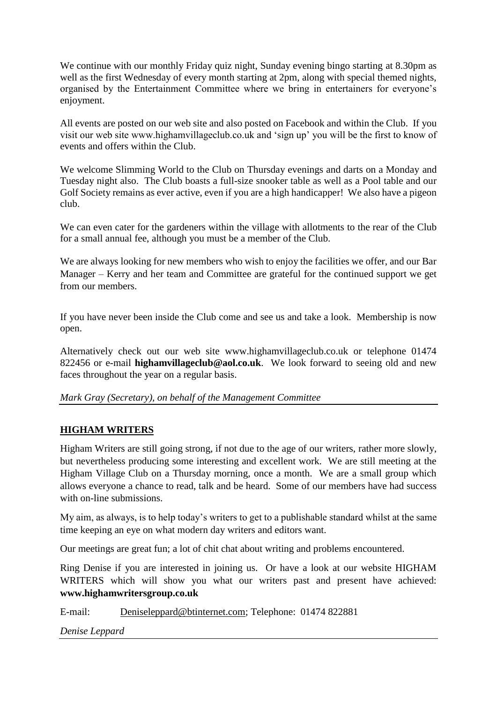We continue with our monthly Friday quiz night, Sunday evening bingo starting at 8.30pm as well as the first Wednesday of every month starting at 2pm, along with special themed nights, organised by the Entertainment Committee where we bring in entertainers for everyone's enjoyment.

All events are posted on our web site and also posted on Facebook and within the Club. If you visit our web site www.highamvillageclub.co.uk and 'sign up' you will be the first to know of events and offers within the Club.

We welcome Slimming World to the Club on Thursday evenings and darts on a Monday and Tuesday night also. The Club boasts a full-size snooker table as well as a Pool table and our Golf Society remains as ever active, even if you are a high handicapper! We also have a pigeon club.

We can even cater for the gardeners within the village with allotments to the rear of the Club for a small annual fee, although you must be a member of the Club.

We are always looking for new members who wish to enjoy the facilities we offer, and our Bar Manager – Kerry and her team and Committee are grateful for the continued support we get from our members.

If you have never been inside the Club come and see us and take a look. Membership is now open.

Alternatively check out our web site www.highamvillageclub.co.uk or telephone 01474 822456 or e-mail **highamvillageclub@aol.co.uk**. We look forward to seeing old and new faces throughout the year on a regular basis.

#### *Mark Gray (Secretary), on behalf of the Management Committee*

#### **HIGHAM WRITERS**

Higham Writers are still going strong, if not due to the age of our writers, rather more slowly, but nevertheless producing some interesting and excellent work. We are still meeting at the Higham Village Club on a Thursday morning, once a month. We are a small group which allows everyone a chance to read, talk and be heard. Some of our members have had success with on-line submissions.

My aim, as always, is to help today's writers to get to a publishable standard whilst at the same time keeping an eye on what modern day writers and editors want.

Our meetings are great fun; a lot of chit chat about writing and problems encountered.

Ring Denise if you are interested in joining us. Or have a look at our website HIGHAM WRITERS which will show you what our writers past and present have achieved: **www.highamwritersgroup.co.uk**

E-mail: [Deniseleppard@btinternet.com;](mailto:Deniseleppard@btinternet.com) Telephone: 01474 822881

*Denise Leppard*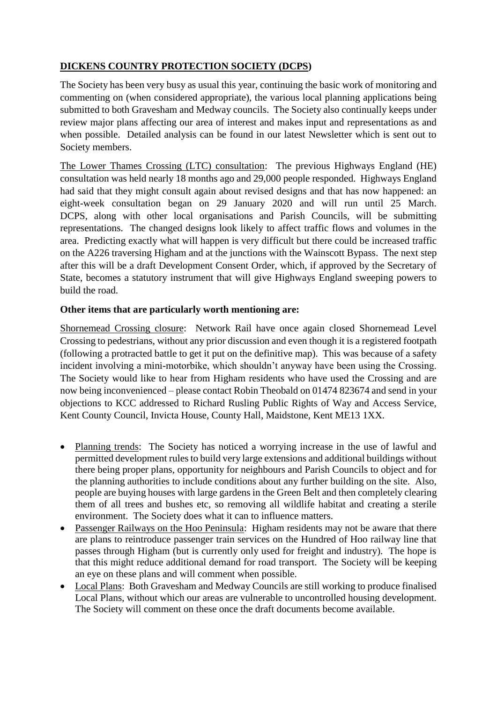# **DICKENS COUNTRY PROTECTION SOCIETY (DCPS)**

The Society has been very busy as usual this year, continuing the basic work of monitoring and commenting on (when considered appropriate), the various local planning applications being submitted to both Gravesham and Medway councils. The Society also continually keeps under review major plans affecting our area of interest and makes input and representations as and when possible. Detailed analysis can be found in our latest Newsletter which is sent out to Society members.

The Lower Thames Crossing (LTC) consultation: The previous Highways England (HE) consultation was held nearly 18 months ago and 29,000 people responded. Highways England had said that they might consult again about revised designs and that has now happened: an eight-week consultation began on 29 January 2020 and will run until 25 March. DCPS, along with other local organisations and Parish Councils, will be submitting representations. The changed designs look likely to affect traffic flows and volumes in the area. Predicting exactly what will happen is very difficult but there could be increased traffic on the A226 traversing Higham and at the junctions with the Wainscott Bypass. The next step after this will be a draft Development Consent Order, which, if approved by the Secretary of State, becomes a statutory instrument that will give Highways England sweeping powers to build the road.

#### **Other items that are particularly worth mentioning are:**

Shornemead Crossing closure: Network Rail have once again closed Shornemead Level Crossing to pedestrians, without any prior discussion and even though it is a registered footpath (following a protracted battle to get it put on the definitive map). This was because of a safety incident involving a mini-motorbike, which shouldn't anyway have been using the Crossing. The Society would like to hear from Higham residents who have used the Crossing and are now being inconvenienced – please contact Robin Theobald on 01474 823674 and send in your objections to KCC addressed to Richard Rusling Public Rights of Way and Access Service, Kent County Council, Invicta House, County Hall, Maidstone, Kent ME13 1XX.

- Planning trends: The Society has noticed a worrying increase in the use of lawful and permitted development rules to build very large extensions and additional buildings without there being proper plans, opportunity for neighbours and Parish Councils to object and for the planning authorities to include conditions about any further building on the site. Also, people are buying houses with large gardens in the Green Belt and then completely clearing them of all trees and bushes etc, so removing all wildlife habitat and creating a sterile environment. The Society does what it can to influence matters.
- Passenger Railways on the Hoo Peninsula: Higham residents may not be aware that there are plans to reintroduce passenger train services on the Hundred of Hoo railway line that passes through Higham (but is currently only used for freight and industry). The hope is that this might reduce additional demand for road transport. The Society will be keeping an eye on these plans and will comment when possible.
- Local Plans: Both Gravesham and Medway Councils are still working to produce finalised Local Plans, without which our areas are vulnerable to uncontrolled housing development. The Society will comment on these once the draft documents become available.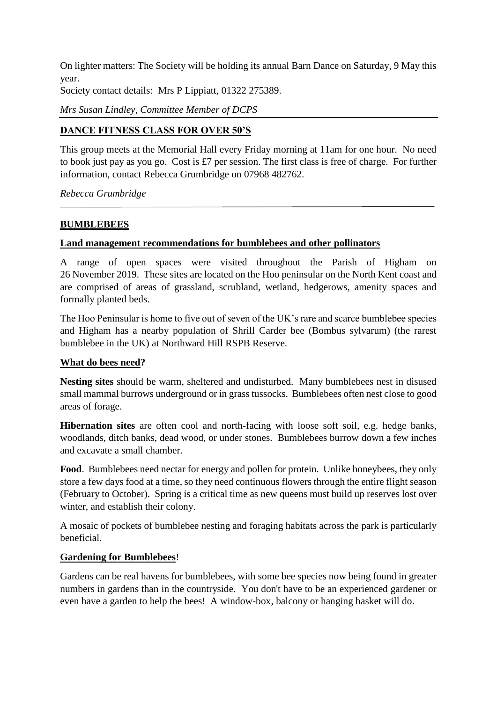On lighter matters: The Society will be holding its annual Barn Dance on Saturday, 9 May this year.

Society contact details: Mrs P Lippiatt, 01322 275389.

*Mrs Susan Lindley, Committee Member of DCPS*

#### **DANCE FITNESS CLASS FOR OVER 50'S**

This group meets at the Memorial Hall every Friday morning at 11am for one hour. No need to book just pay as you go. Cost is £7 per session. The first class is free of charge. For further information, contact Rebecca Grumbridge on 07968 482762.

*Rebecca Grumbridge*

#### **BUMBLEBEES**

#### **Land management recommendations for bumblebees and other pollinators**

A range of open spaces were visited throughout the Parish of Higham on 26 November 2019. These sites are located on the Hoo peninsular on the North Kent coast and are comprised of areas of grassland, scrubland, wetland, hedgerows, amenity spaces and formally planted beds.

The Hoo Peninsular is home to five out of seven of the UK's rare and scarce bumblebee species and Higham has a nearby population of Shrill Carder bee (Bombus sylvarum) (the rarest bumblebee in the UK) at Northward Hill RSPB Reserve.

#### **What do bees need?**

**Nesting sites** should be warm, sheltered and undisturbed. Many bumblebees nest in disused small mammal burrows underground or in grass tussocks. Bumblebees often nest close to good areas of forage.

**Hibernation sites** are often cool and north-facing with loose soft soil, e.g. hedge banks, woodlands, ditch banks, dead wood, or under stones. Bumblebees burrow down a few inches and excavate a small chamber.

Food. Bumblebees need nectar for energy and pollen for protein. Unlike honeybees, they only store a few days food at a time, so they need continuous flowers through the entire flight season (February to October). Spring is a critical time as new queens must build up reserves lost over winter, and establish their colony.

A mosaic of pockets of bumblebee nesting and foraging habitats across the park is particularly beneficial.

#### **Gardening for Bumblebees**!

Gardens can be real havens for bumblebees, with some bee species now being found in greater numbers in gardens than in the countryside. You don't have to be an experienced gardener or even have a garden to help the bees! A window-box, balcony or hanging basket will do.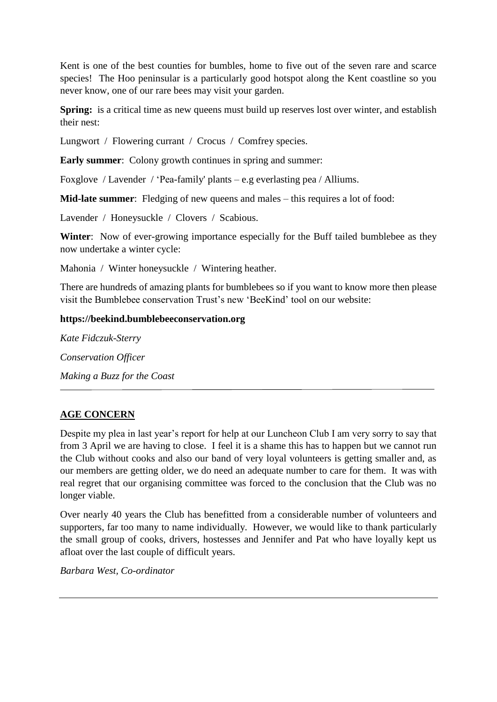Kent is one of the best counties for bumbles, home to five out of the seven rare and scarce species! The Hoo peninsular is a particularly good hotspot along the Kent coastline so you never know, one of our rare bees may visit your garden.

**Spring:** is a critical time as new queens must build up reserves lost over winter, and establish their nest:

Lungwort / Flowering currant / Crocus / Comfrey species.

**Early summer:** Colony growth continues in spring and summer:

Foxglove / Lavender / 'Pea-family' plants – e.g everlasting pea / Alliums.

**Mid-late summer**: Fledging of new queens and males – this requires a lot of food:

Lavender / Honeysuckle / Clovers / Scabious.

**Winter**: Now of ever-growing importance especially for the Buff tailed bumblebee as they now undertake a winter cycle:

Mahonia / Winter honeysuckle / Wintering heather.

There are hundreds of amazing plants for bumblebees so if you want to know more then please visit the Bumblebee conservation Trust's new 'BeeKind' tool on our website:

#### **https://beekind.bumblebeeconservation.org**

*Kate Fidczuk-Sterry Conservation Officer Making a Buzz for the Coast*

## **AGE CONCERN**

Despite my plea in last year's report for help at our Luncheon Club I am very sorry to say that from 3 April we are having to close. I feel it is a shame this has to happen but we cannot run the Club without cooks and also our band of very loyal volunteers is getting smaller and, as our members are getting older, we do need an adequate number to care for them. It was with real regret that our organising committee was forced to the conclusion that the Club was no longer viable.

Over nearly 40 years the Club has benefitted from a considerable number of volunteers and supporters, far too many to name individually. However, we would like to thank particularly the small group of cooks, drivers, hostesses and Jennifer and Pat who have loyally kept us afloat over the last couple of difficult years.

*Barbara West, Co-ordinator*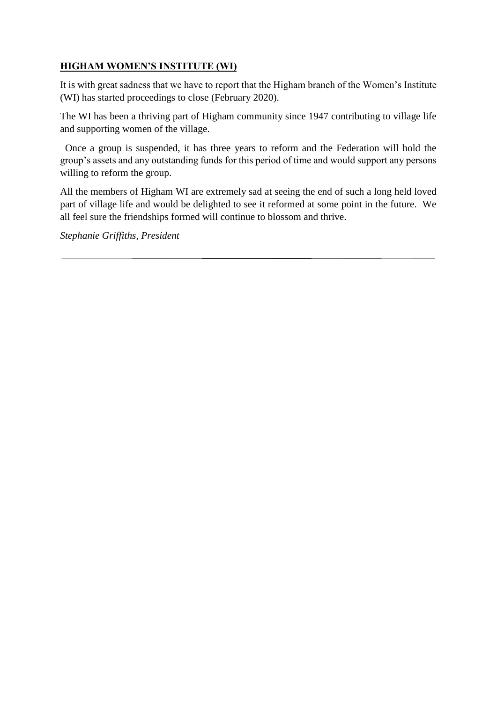## **HIGHAM WOMEN'S INSTITUTE (WI)**

It is with great sadness that we have to report that the Higham branch of the Women's Institute (WI) has started proceedings to close (February 2020).

The WI has been a thriving part of Higham community since 1947 contributing to village life and supporting women of the village.

 Once a group is suspended, it has three years to reform and the Federation will hold the group's assets and any outstanding funds for this period of time and would support any persons willing to reform the group.

All the members of Higham WI are extremely sad at seeing the end of such a long held loved part of village life and would be delighted to see it reformed at some point in the future. We all feel sure the friendships formed will continue to blossom and thrive.

*Stephanie Griffiths, President*